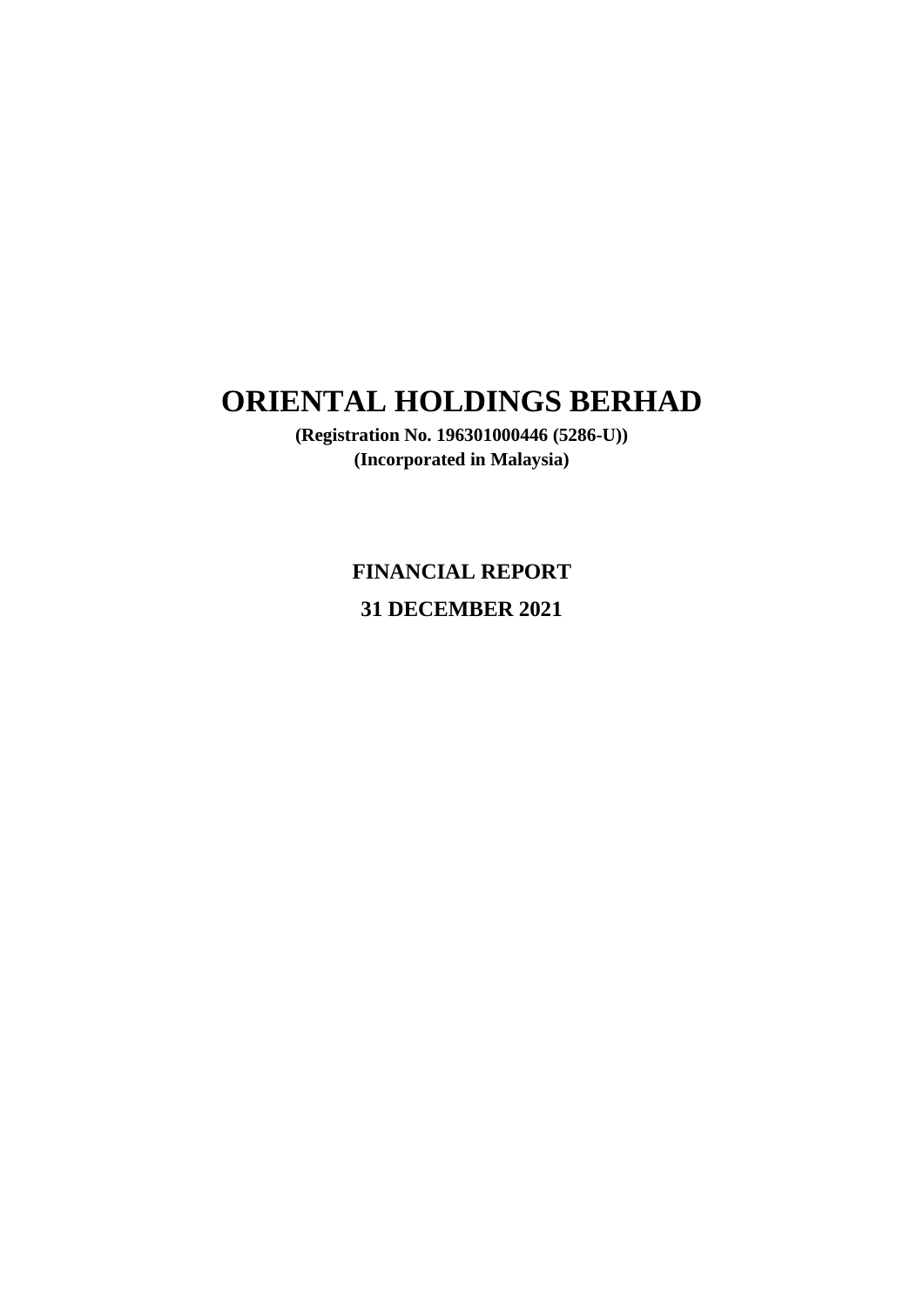**(Registration No. 196301000446 (5286-U)) (Incorporated in Malaysia)**

> **FINANCIAL REPORT 31 DECEMBER 2021**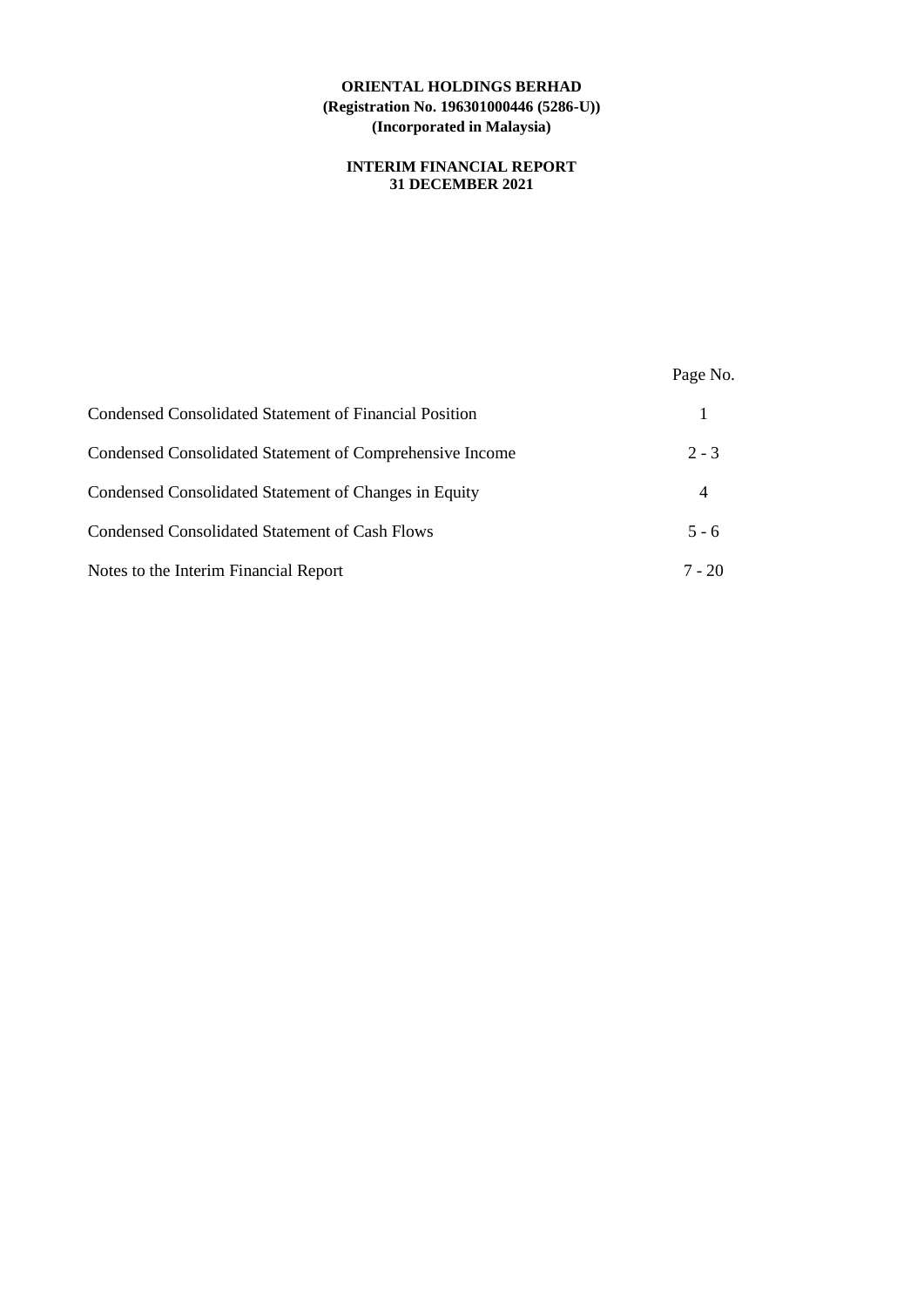## **INTERIM FINANCIAL REPORT 31 DECEMBER 2021**

|                                                          | Page No. |
|----------------------------------------------------------|----------|
| Condensed Consolidated Statement of Financial Position   |          |
| Condensed Consolidated Statement of Comprehensive Income | $2 - 3$  |
| Condensed Consolidated Statement of Changes in Equity    | 4        |
| Condensed Consolidated Statement of Cash Flows           | $5 - 6$  |
| Notes to the Interim Financial Report                    | $7 - 20$ |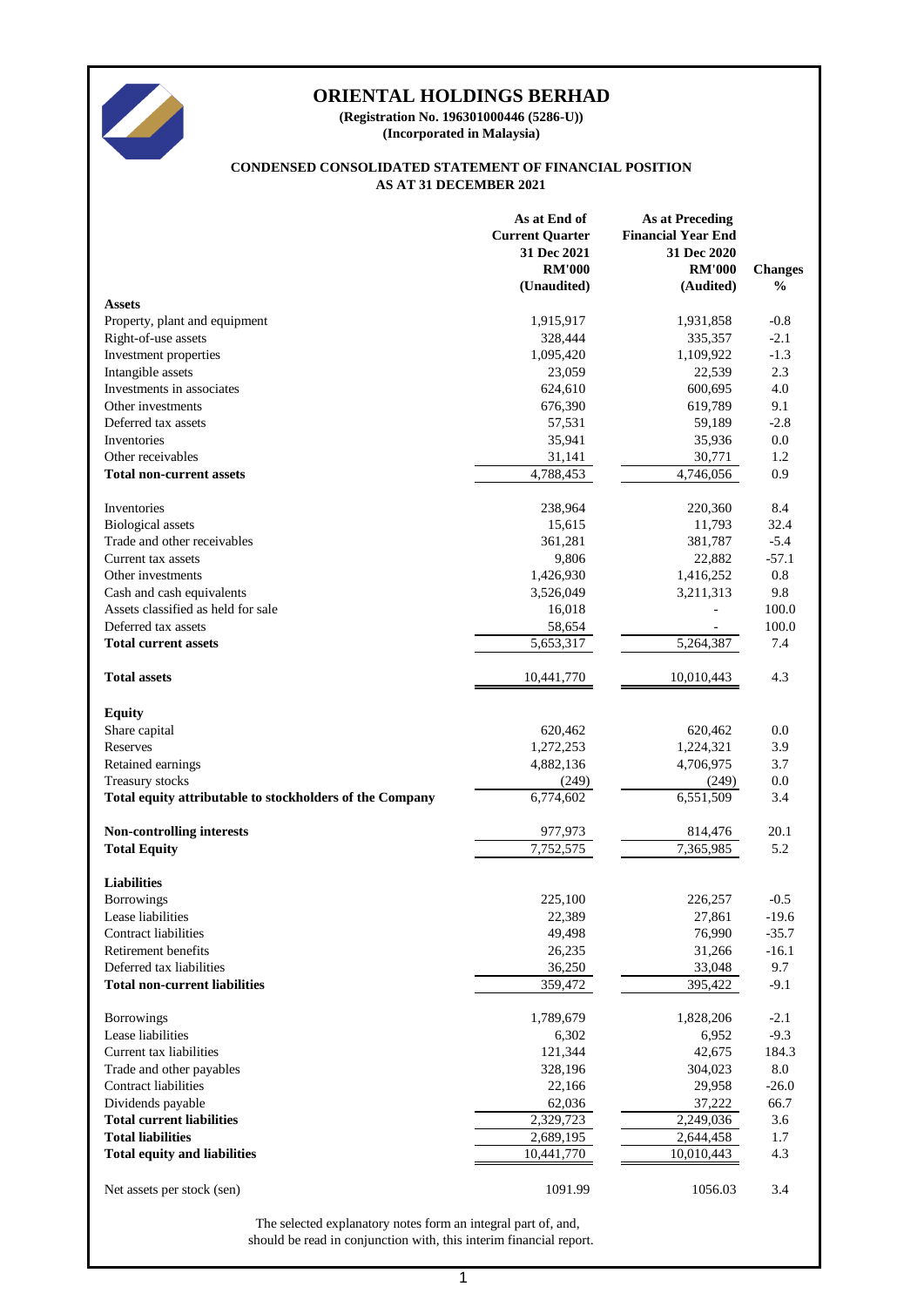

**(Incorporated in Malaysia) (Registration No. 196301000446 (5286-U))**

#### **AS AT 31 DECEMBER 2021 CONDENSED CONSOLIDATED STATEMENT OF FINANCIAL POSITION**

|                                                          | As at End of           | <b>As at Preceding</b>    |                |
|----------------------------------------------------------|------------------------|---------------------------|----------------|
|                                                          | <b>Current Quarter</b> | <b>Financial Year End</b> |                |
|                                                          | 31 Dec 2021            | 31 Dec 2020               |                |
|                                                          | <b>RM'000</b>          | <b>RM'000</b>             | <b>Changes</b> |
|                                                          | (Unaudited)            | (Audited)                 | $\frac{0}{0}$  |
| <b>Assets</b>                                            |                        |                           |                |
| Property, plant and equipment                            | 1,915,917              | 1,931,858                 | $-0.8$         |
| Right-of-use assets                                      | 328,444                | 335,357                   | $-2.1$         |
| Investment properties                                    | 1,095,420              | 1,109,922                 | $-1.3$         |
| Intangible assets                                        | 23,059                 | 22,539                    | 2.3            |
| Investments in associates                                | 624,610                | 600,695                   | 4.0            |
| Other investments                                        |                        | 619,789                   | 9.1            |
|                                                          | 676,390                |                           |                |
| Deferred tax assets                                      | 57,531                 | 59,189                    | $-2.8$         |
| Inventories                                              | 35,941                 | 35,936                    | 0.0            |
| Other receivables                                        | 31,141                 | 30,771                    | 1.2            |
| <b>Total non-current assets</b>                          | 4,788,453              | 4,746,056                 | 0.9            |
| Inventories                                              | 238,964                | 220,360                   | 8.4            |
| <b>Biological</b> assets                                 | 15,615                 | 11,793                    | 32.4           |
| Trade and other receivables                              | 361,281                | 381,787                   | $-5.4$         |
| Current tax assets                                       | 9,806                  | 22,882                    | $-57.1$        |
|                                                          |                        |                           |                |
| Other investments                                        | 1,426,930              | 1,416,252                 | 0.8            |
| Cash and cash equivalents                                | 3,526,049              | 3,211,313                 | 9.8            |
| Assets classified as held for sale                       | 16,018                 | L,                        | 100.0          |
| Deferred tax assets                                      | 58,654                 |                           | 100.0          |
| <b>Total current assets</b>                              | 5,653,317              | 5,264,387                 | 7.4            |
| <b>Total assets</b>                                      | 10,441,770             | 10,010,443                | 4.3            |
|                                                          |                        |                           |                |
| <b>Equity</b>                                            |                        |                           |                |
| Share capital                                            | 620,462                | 620,462                   | 0.0            |
| Reserves                                                 | 1,272,253              | 1,224,321                 | 3.9            |
| Retained earnings                                        | 4,882,136              | 4,706,975                 | 3.7            |
| Treasury stocks                                          | (249)                  | (249)                     | 0.0            |
| Total equity attributable to stockholders of the Company | 6,774,602              | 6,551,509                 | 3.4            |
| Non-controlling interests                                | 977,973                | 814,476                   | 20.1           |
| <b>Total Equity</b>                                      | 7,752,575              | 7,365,985                 | 5.2            |
|                                                          |                        |                           |                |
| <b>Liabilities</b>                                       |                        |                           |                |
| <b>Borrowings</b>                                        | 225,100                | 226,257                   | $-0.5$         |
| Lease liabilities                                        | 22,389                 | 27,861                    | $-19.6$        |
| <b>Contract liabilities</b>                              | 49,498                 | 76,990                    | $-35.7$        |
| Retirement benefits                                      | 26,235                 | 31,266                    | $-16.1$        |
| Deferred tax liabilities                                 | 36,250                 | 33,048                    | 9.7            |
| <b>Total non-current liabilities</b>                     | 359,472                | 395,422                   | $-9.1$         |
|                                                          |                        |                           |                |
| <b>Borrowings</b>                                        | 1,789,679              | 1,828,206                 | $-2.1$         |
| Lease liabilities                                        | 6,302                  | 6,952                     | $-9.3$         |
| Current tax liabilities                                  | 121,344                | 42,675                    | 184.3          |
| Trade and other payables                                 | 328,196                | 304,023                   | 8.0            |
| Contract liabilities                                     | 22,166                 | 29,958                    | $-26.0$        |
| Dividends payable                                        | 62,036                 | 37,222                    | 66.7           |
| <b>Total current liabilities</b>                         | 2,329,723              | 2,249,036                 | 3.6            |
| <b>Total liabilities</b>                                 | 2,689,195              | 2,644,458                 | 1.7            |
| <b>Total equity and liabilities</b>                      | 10,441,770             | 10,010,443                | 4.3            |
|                                                          |                        |                           |                |
| Net assets per stock (sen)                               | 1091.99                | 1056.03                   | 3.4            |
|                                                          |                        |                           |                |

should be read in conjunction with, this interim financial report. The selected explanatory notes form an integral part of, and,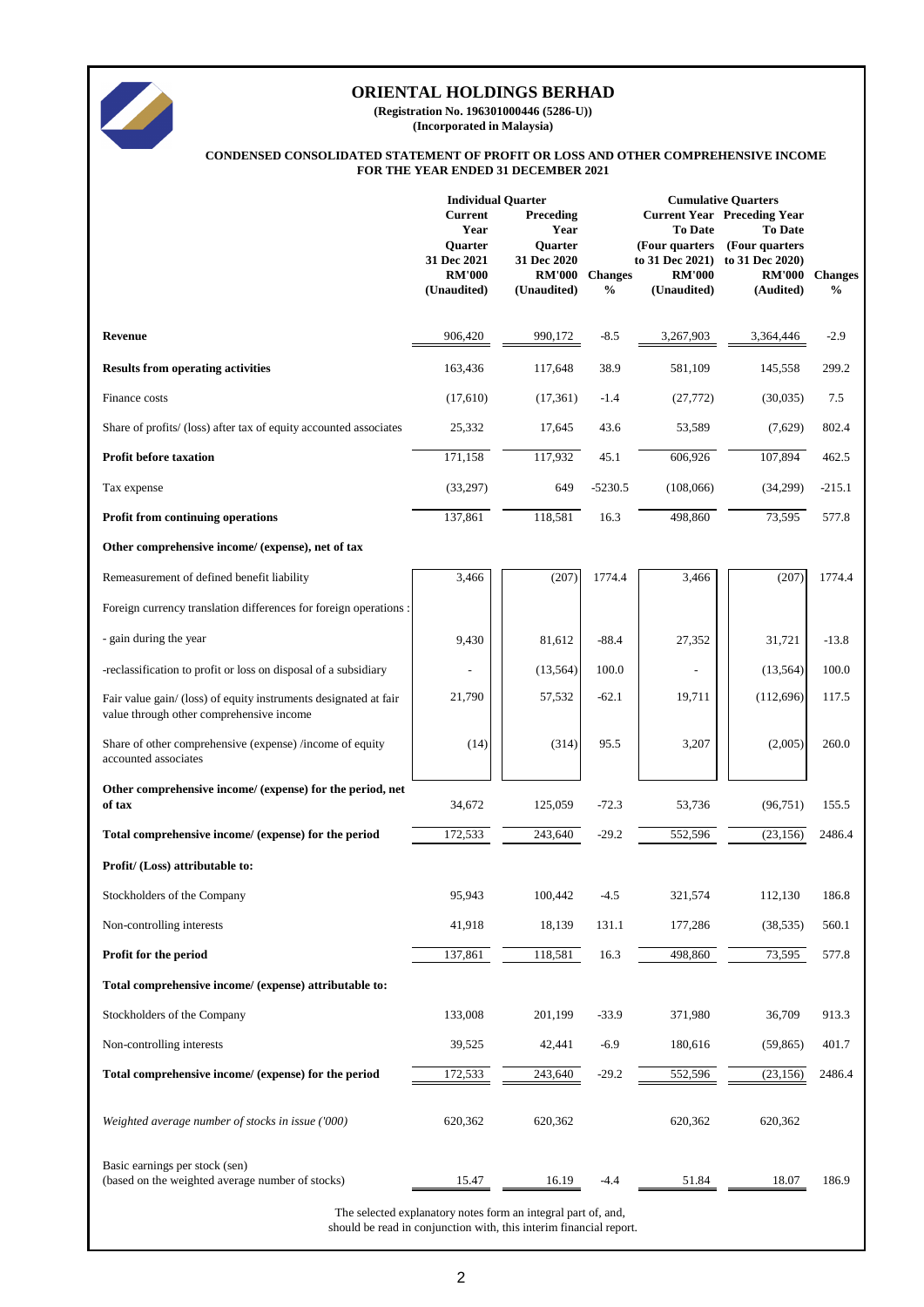

**(Registration No. 196301000446 (5286-U)) (Incorporated in Malaysia)**

#### **CONDENSED CONSOLIDATED STATEMENT OF PROFIT OR LOSS AND OTHER COMPREHENSIVE INCOME FOR THE YEAR ENDED 31 DECEMBER 2021**

| <b>Individual Quarter</b>                                      |                                                                                         |                                                                                       |                                                                                                     |                                                                               |                                                                                                                                                                                                                                  |
|----------------------------------------------------------------|-----------------------------------------------------------------------------------------|---------------------------------------------------------------------------------------|-----------------------------------------------------------------------------------------------------|-------------------------------------------------------------------------------|----------------------------------------------------------------------------------------------------------------------------------------------------------------------------------------------------------------------------------|
| Year<br>Quarter<br>31 Dec 2021<br><b>RM'000</b><br>(Unaudited) | Year<br>Quarter<br>31 Dec 2020<br><b>RM'000</b><br>(Unaudited)                          | $\frac{0}{0}$                                                                         | <b>To Date</b><br><b>RM'000</b><br>(Unaudited)                                                      | <b>To Date</b><br><b>RM'000</b><br>(Audited)                                  | <b>Changes</b><br>$\%$                                                                                                                                                                                                           |
| 906,420                                                        | 990,172                                                                                 | $-8.5$                                                                                | 3,267,903                                                                                           | 3,364,446                                                                     | $-2.9$                                                                                                                                                                                                                           |
|                                                                |                                                                                         |                                                                                       |                                                                                                     |                                                                               | 299.2                                                                                                                                                                                                                            |
|                                                                |                                                                                         | $-1.4$                                                                                |                                                                                                     |                                                                               | 7.5                                                                                                                                                                                                                              |
|                                                                |                                                                                         | 43.6                                                                                  |                                                                                                     |                                                                               | 802.4                                                                                                                                                                                                                            |
| 171,158                                                        | 117,932                                                                                 | 45.1                                                                                  | 606,926                                                                                             | 107,894                                                                       | 462.5                                                                                                                                                                                                                            |
|                                                                | 649                                                                                     | $-5230.5$                                                                             | (108,066)                                                                                           |                                                                               | $-215.1$                                                                                                                                                                                                                         |
| 137,861                                                        | 118,581                                                                                 | 16.3                                                                                  | 498,860                                                                                             | 73,595                                                                        | 577.8                                                                                                                                                                                                                            |
|                                                                |                                                                                         |                                                                                       |                                                                                                     |                                                                               |                                                                                                                                                                                                                                  |
|                                                                |                                                                                         |                                                                                       |                                                                                                     |                                                                               | 1774.4                                                                                                                                                                                                                           |
|                                                                |                                                                                         |                                                                                       |                                                                                                     |                                                                               |                                                                                                                                                                                                                                  |
|                                                                |                                                                                         |                                                                                       |                                                                                                     |                                                                               | $-13.8$                                                                                                                                                                                                                          |
|                                                                |                                                                                         |                                                                                       |                                                                                                     |                                                                               | 100.0                                                                                                                                                                                                                            |
|                                                                |                                                                                         | $-62.1$                                                                               |                                                                                                     |                                                                               | 117.5                                                                                                                                                                                                                            |
|                                                                |                                                                                         |                                                                                       |                                                                                                     |                                                                               |                                                                                                                                                                                                                                  |
| (14)                                                           | (314)                                                                                   | 95.5                                                                                  | 3,207                                                                                               | (2,005)                                                                       | 260.0                                                                                                                                                                                                                            |
| 34,672                                                         | 125,059                                                                                 | $-72.3$                                                                               | 53,736                                                                                              | (96, 751)                                                                     | 155.5                                                                                                                                                                                                                            |
| 172,533                                                        | 243,640                                                                                 | $-29.2$                                                                               | 552,596                                                                                             | (23, 156)                                                                     | 2486.4                                                                                                                                                                                                                           |
|                                                                |                                                                                         |                                                                                       |                                                                                                     |                                                                               |                                                                                                                                                                                                                                  |
| 95,943                                                         | 100,442                                                                                 | $-4.5$                                                                                | 321,574                                                                                             | 112,130                                                                       | 186.8                                                                                                                                                                                                                            |
| 41,918                                                         | 18,139                                                                                  | 131.1                                                                                 | 177,286                                                                                             | (38, 535)                                                                     | 560.1                                                                                                                                                                                                                            |
| 137,861                                                        | 118,581                                                                                 | 16.3                                                                                  | 498,860                                                                                             | 73,595                                                                        | 577.8                                                                                                                                                                                                                            |
|                                                                |                                                                                         |                                                                                       |                                                                                                     |                                                                               |                                                                                                                                                                                                                                  |
| 133,008                                                        | 201,199                                                                                 | $-33.9$                                                                               | 371,980                                                                                             | 36,709                                                                        | 913.3                                                                                                                                                                                                                            |
| 39,525                                                         | 42,441                                                                                  | $-6.9$                                                                                | 180,616                                                                                             | (59, 865)                                                                     | 401.7                                                                                                                                                                                                                            |
| 172,533                                                        | 243,640                                                                                 | $-29.2$                                                                               | 552,596                                                                                             | (23, 156)                                                                     | 2486.4                                                                                                                                                                                                                           |
| 620,362                                                        | 620,362                                                                                 |                                                                                       | 620,362                                                                                             | 620,362                                                                       |                                                                                                                                                                                                                                  |
| 15.47                                                          | 16.19                                                                                   | -4.4                                                                                  | 51.84                                                                                               | 18.07                                                                         | 186.9                                                                                                                                                                                                                            |
|                                                                | <b>Current</b><br>163,436<br>(17,610)<br>25,332<br>(33,297)<br>3,466<br>9,430<br>21,790 | Preceding<br>117,648<br>(17, 361)<br>17,645<br>(207)<br>81,612<br>(13, 564)<br>57,532 | 38.9<br>1774.4<br>$-88.4$<br>100.0<br>The selected explanatory notes form an integral part of, and, | <b>Changes</b><br>581,109<br>(27, 772)<br>53,589<br>3,466<br>27,352<br>19,711 | <b>Cumulative Quarters</b><br><b>Current Year Preceding Year</b><br>(Four quarters (Four quarters)<br>to 31 Dec 2021) to 31 Dec 2020)<br>145,558<br>(30,035)<br>(7,629)<br>(34,299)<br>(207)<br>31,721<br>(13, 564)<br>(112,696) |

should be read in conjunction with, this interim financial report.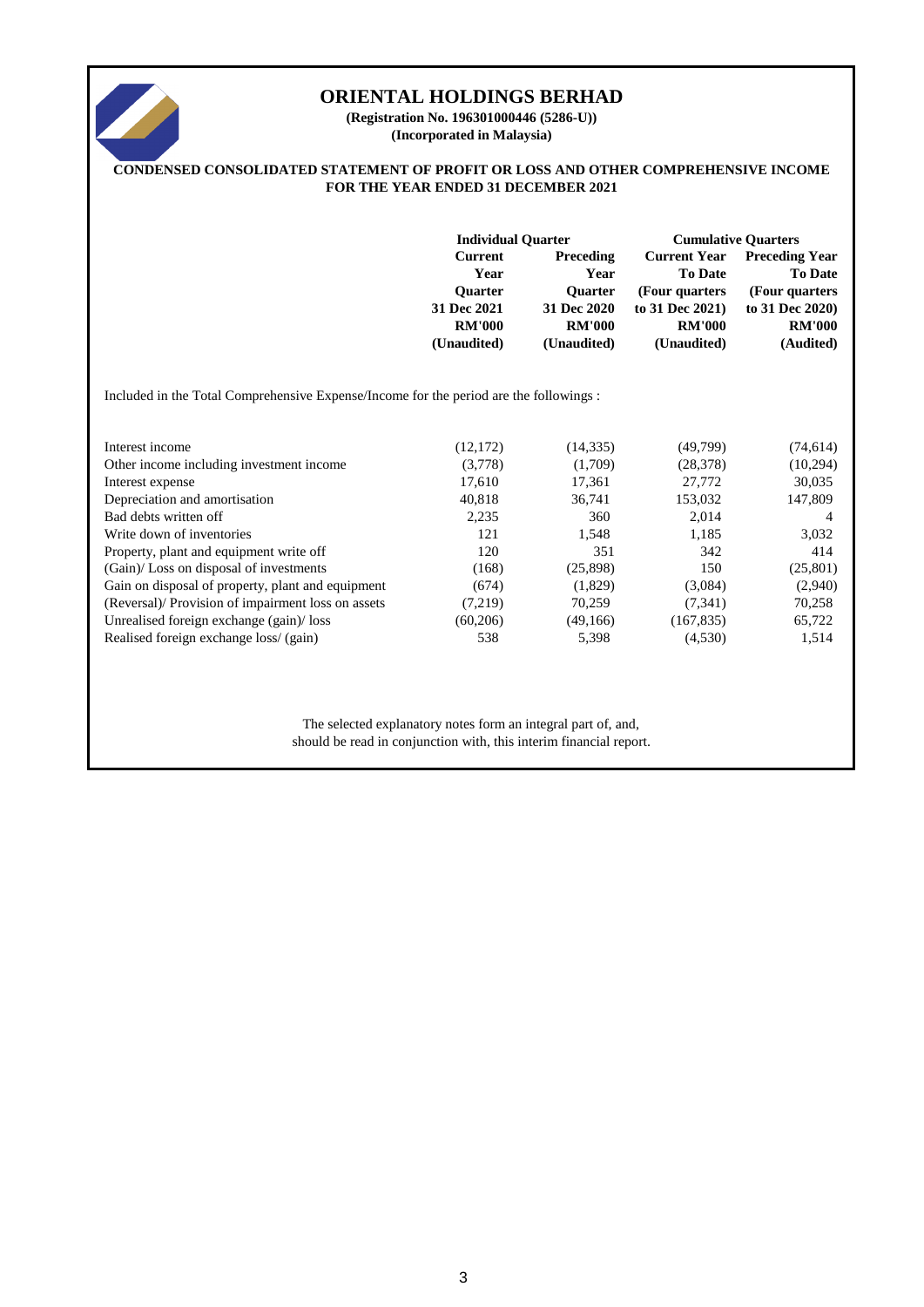

**(Incorporated in Malaysia) (Registration No. 196301000446 (5286-U))**

## **CONDENSED CONSOLIDATED STATEMENT OF PROFIT OR LOSS AND OTHER COMPREHENSIVE INCOME FOR THE YEAR ENDED 31 DECEMBER 2021**

|                                                                                       | <b>Individual Quarter</b> |                  | <b>Cumulative Quarters</b> |                       |  |  |
|---------------------------------------------------------------------------------------|---------------------------|------------------|----------------------------|-----------------------|--|--|
|                                                                                       | Current                   | <b>Preceding</b> | <b>Current Year</b>        | <b>Preceding Year</b> |  |  |
|                                                                                       | Year                      | Year             | <b>To Date</b>             | <b>To Date</b>        |  |  |
|                                                                                       | <b>Ouarter</b>            | <b>Ouarter</b>   | (Four quarters)            | (Four quarters)       |  |  |
|                                                                                       | 31 Dec 2021               | 31 Dec 2020      | to 31 Dec 2021)            | to 31 Dec 2020)       |  |  |
|                                                                                       | <b>RM'000</b>             | <b>RM'000</b>    | <b>RM'000</b>              | <b>RM'000</b>         |  |  |
|                                                                                       | (Unaudited)               | (Unaudited)      | (Unaudited)                | (Audited)             |  |  |
|                                                                                       |                           |                  |                            |                       |  |  |
| Included in the Total Comprehensive Expense/Income for the period are the followings: |                           |                  |                            |                       |  |  |

| Interest income                                    | (12, 172) | (14, 335) | (49,799)   | (74, 614) |
|----------------------------------------------------|-----------|-----------|------------|-----------|
| Other income including investment income           | (3,778)   | (1,709)   | (28, 378)  | (10, 294) |
| Interest expense                                   | 17,610    | 17,361    | 27,772     | 30,035    |
| Depreciation and amortisation                      | 40,818    | 36,741    | 153,032    | 147,809   |
| Bad debts written off                              | 2,235     | 360       | 2,014      | 4         |
| Write down of inventories                          | 121       | 1,548     | 1,185      | 3,032     |
| Property, plant and equipment write off            | 120       | 351       | 342        | 414       |
| (Gain)/Loss on disposal of investments             | (168)     | (25,898)  | 150        | (25, 801) |
| Gain on disposal of property, plant and equipment  | (674)     | (1,829)   | (3,084)    | (2,940)   |
| (Reversal)/ Provision of impairment loss on assets | (7,219)   | 70.259    | (7,341)    | 70,258    |
| Unrealised foreign exchange (gain)/loss            | (60, 206) | (49,166)  | (167, 835) | 65,722    |
| Realised foreign exchange loss/ (gain)             | 538       | 5,398     | (4,530)    | 1,514     |

The selected explanatory notes form an integral part of, and, should be read in conjunction with, this interim financial report.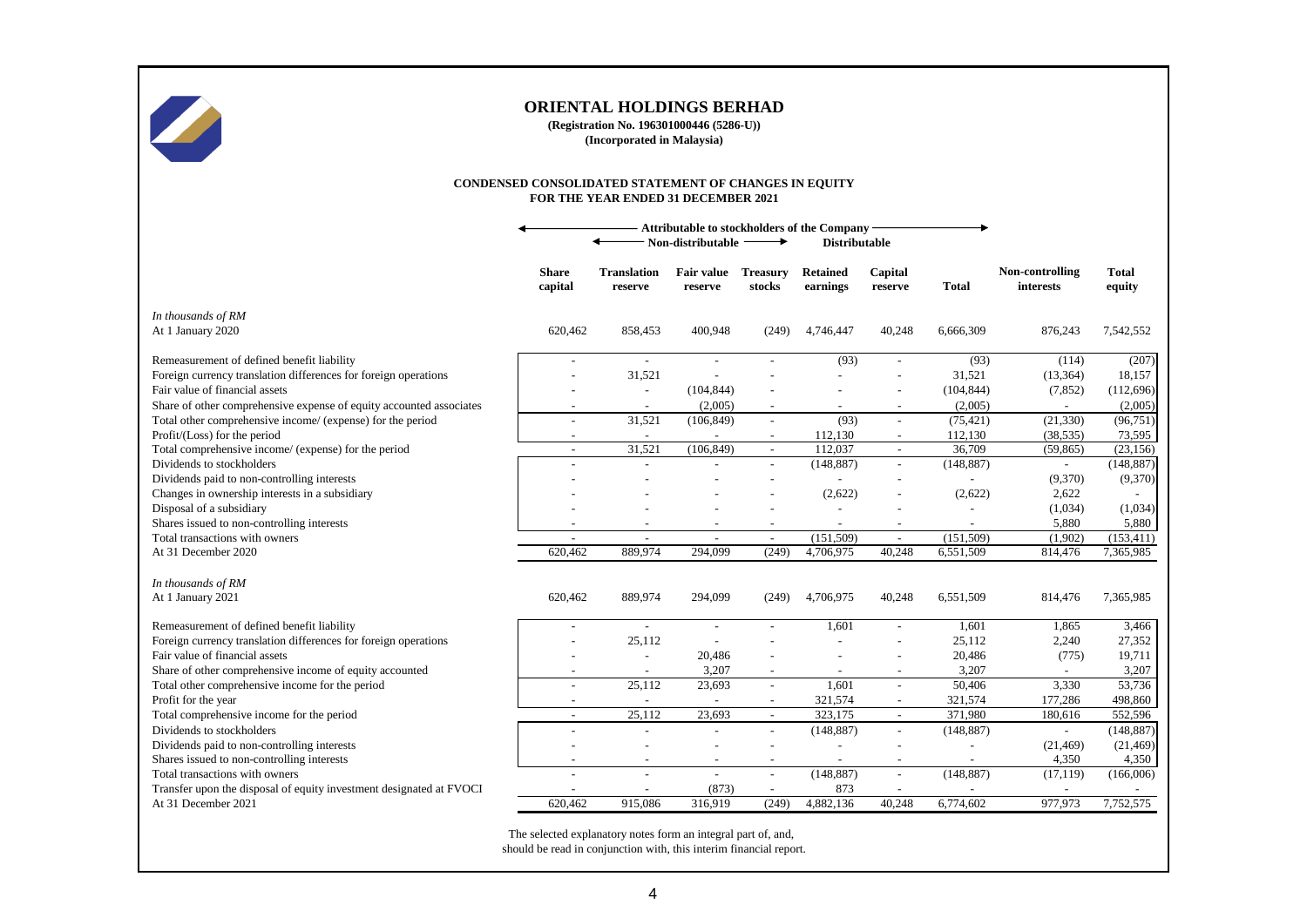

**(Registration No. 196301000446 (5286-U)) (Incorporated in Malaysia)**

#### **CONDENSED CONSOLIDATED STATEMENT OF CHANGES IN EQUITY FOR THE YEAR ENDED 31 DECEMBER 2021**

|                                                                     | Attributable to stockholders of the Company<br>Non-distributable<br><b>Distributable</b> |                               |                              |                           |                             |                          |                          |                                     |                        |
|---------------------------------------------------------------------|------------------------------------------------------------------------------------------|-------------------------------|------------------------------|---------------------------|-----------------------------|--------------------------|--------------------------|-------------------------------------|------------------------|
|                                                                     | <b>Share</b><br>capital                                                                  | <b>Translation</b><br>reserve | <b>Fair value</b><br>reserve | <b>Treasury</b><br>stocks | <b>Retained</b><br>earnings | Capital<br>reserve       | Total                    | Non-controlling<br><i>interests</i> | <b>Total</b><br>equity |
| In thousands of RM                                                  |                                                                                          |                               |                              |                           |                             |                          |                          |                                     |                        |
| At 1 January 2020                                                   | 620,462                                                                                  | 858,453                       | 400,948                      | (249)                     | 4,746,447                   | 40,248                   | 6,666,309                | 876,243                             | 7,542,552              |
| Remeasurement of defined benefit liability                          |                                                                                          | $\sim$                        |                              |                           | (93)                        |                          | (93)                     | (114)                               | (207)                  |
| Foreign currency translation differences for foreign operations     |                                                                                          | 31,521                        | $\overline{a}$               |                           |                             |                          | 31,521                   | (13, 364)                           | 18,157                 |
| Fair value of financial assets                                      |                                                                                          | $\overline{\phantom{a}}$      | (104, 844)                   |                           |                             |                          | (104, 844)               | (7, 852)                            | (112,696)              |
| Share of other comprehensive expense of equity accounted associates |                                                                                          |                               | (2,005)                      |                           |                             |                          | (2,005)                  |                                     | (2,005)                |
| Total other comprehensive income/ (expense) for the period          |                                                                                          | 31,521                        | (106, 849)                   |                           | (93)                        |                          | (75, 421)                | (21, 330)                           | (96, 751)              |
| Profit/(Loss) for the period                                        |                                                                                          | $\overline{\phantom{a}}$      |                              |                           | 112,130                     |                          | 112,130                  | (38, 535)                           | 73,595                 |
| Total comprehensive income/ (expense) for the period                | $\overline{\phantom{a}}$                                                                 | 31,521                        | (106, 849)                   | $\sim$                    | 112,037                     | $\sim$                   | 36,709                   | (59, 865)                           | (23, 156)              |
| Dividends to stockholders                                           |                                                                                          | $\sim$                        | $\overline{a}$               | $\sim$                    | (148, 887)                  | $\sim$                   | (148, 887)               | $\overline{a}$                      | (148, 887)             |
| Dividends paid to non-controlling interests                         |                                                                                          |                               |                              |                           |                             |                          |                          | (9,370)                             | (9,370)                |
| Changes in ownership interests in a subsidiary                      |                                                                                          |                               |                              |                           | (2,622)                     |                          | (2,622)                  | 2,622                               |                        |
| Disposal of a subsidiary                                            |                                                                                          |                               |                              |                           |                             |                          | $\overline{a}$           | (1,034)                             | (1,034)                |
| Shares issued to non-controlling interests                          |                                                                                          | $\overline{a}$                |                              |                           | $\overline{\phantom{a}}$    | $\overline{\phantom{a}}$ | $\overline{a}$           | 5,880                               | 5,880                  |
| Total transactions with owners                                      | $\overline{\phantom{a}}$                                                                 | $\overline{\phantom{a}}$      | $\overline{\phantom{a}}$     | $\sim$                    | (151,509)                   | $\sim$                   | (151,509)                | (1,902)                             | (153, 411)             |
| At 31 December 2020                                                 | 620,462                                                                                  | 889,974                       | 294,099                      | (249)                     | 4,706,975                   | 40,248                   | 6,551,509                | 814,476                             | 7,365,985              |
| In thousands of RM                                                  |                                                                                          |                               |                              |                           |                             |                          |                          |                                     |                        |
| At 1 January 2021                                                   | 620,462                                                                                  | 889,974                       | 294,099                      | (249)                     | 4,706,975                   | 40,248                   | 6,551,509                | 814,476                             | 7,365,985              |
| Remeasurement of defined benefit liability                          | $\overline{\phantom{a}}$                                                                 | $\sim$                        | $\overline{a}$               |                           | 1,601                       | $\sim$                   | 1,601                    | 1,865                               | 3,466                  |
| Foreign currency translation differences for foreign operations     |                                                                                          | 25,112                        |                              |                           |                             |                          | 25,112                   | 2,240                               | 27,352                 |
| Fair value of financial assets                                      |                                                                                          | $\overline{a}$                | 20,486                       |                           |                             |                          | 20,486                   | (775)                               | 19,711                 |
| Share of other comprehensive income of equity accounted             |                                                                                          | $\overline{a}$                | 3,207                        |                           |                             | $\overline{\phantom{a}}$ | 3,207                    | $\sim$                              | 3,207                  |
| Total other comprehensive income for the period                     | $\overline{a}$                                                                           | 25,112                        | 23,693                       |                           | 1,601                       | $\overline{a}$           | 50,406                   | 3,330                               | 53,736                 |
| Profit for the year                                                 |                                                                                          |                               |                              |                           | 321,574                     |                          | 321,574                  | 177,286                             | 498,860                |
| Total comprehensive income for the period                           | $\overline{a}$                                                                           | 25,112                        | 23.693                       |                           | 323.175                     | $\sim$                   | 371.980                  | 180,616                             | 552,596                |
| Dividends to stockholders                                           |                                                                                          |                               |                              |                           | (148, 887)                  | $\sim$                   | (148, 887)               | $\overline{a}$                      | (148, 887)             |
| Dividends paid to non-controlling interests                         |                                                                                          |                               |                              |                           |                             |                          | $\overline{a}$           | (21, 469)                           | (21, 469)              |
| Shares issued to non-controlling interests                          | $\overline{\phantom{a}}$                                                                 | $\overline{\phantom{a}}$      | $\overline{\phantom{0}}$     | $\overline{\phantom{a}}$  | $\overline{\phantom{a}}$    | $\overline{a}$           | $\overline{\phantom{a}}$ | 4,350                               | 4,350                  |
| Total transactions with owners                                      |                                                                                          | $\overline{\phantom{a}}$      | $\overline{\phantom{a}}$     | $\sim$                    | (148, 887)                  | $\overline{\phantom{a}}$ | (148, 887)               | (17, 119)                           | (166,006)              |
| Transfer upon the disposal of equity investment designated at FVOCI |                                                                                          |                               | (873)                        |                           | 873                         | $\overline{\phantom{a}}$ | $\overline{a}$           | $\overline{a}$                      |                        |
| At 31 December 2021                                                 | 620.462                                                                                  | 915,086                       | 316,919                      | (249)                     | 4,882,136                   | 40,248                   | 6,774,602                | 977,973                             | 7,752,575              |
|                                                                     |                                                                                          |                               |                              |                           |                             |                          |                          |                                     |                        |

The selected explanatory notes form an integral part of, and, should be read in conjunction with, this interim financial report.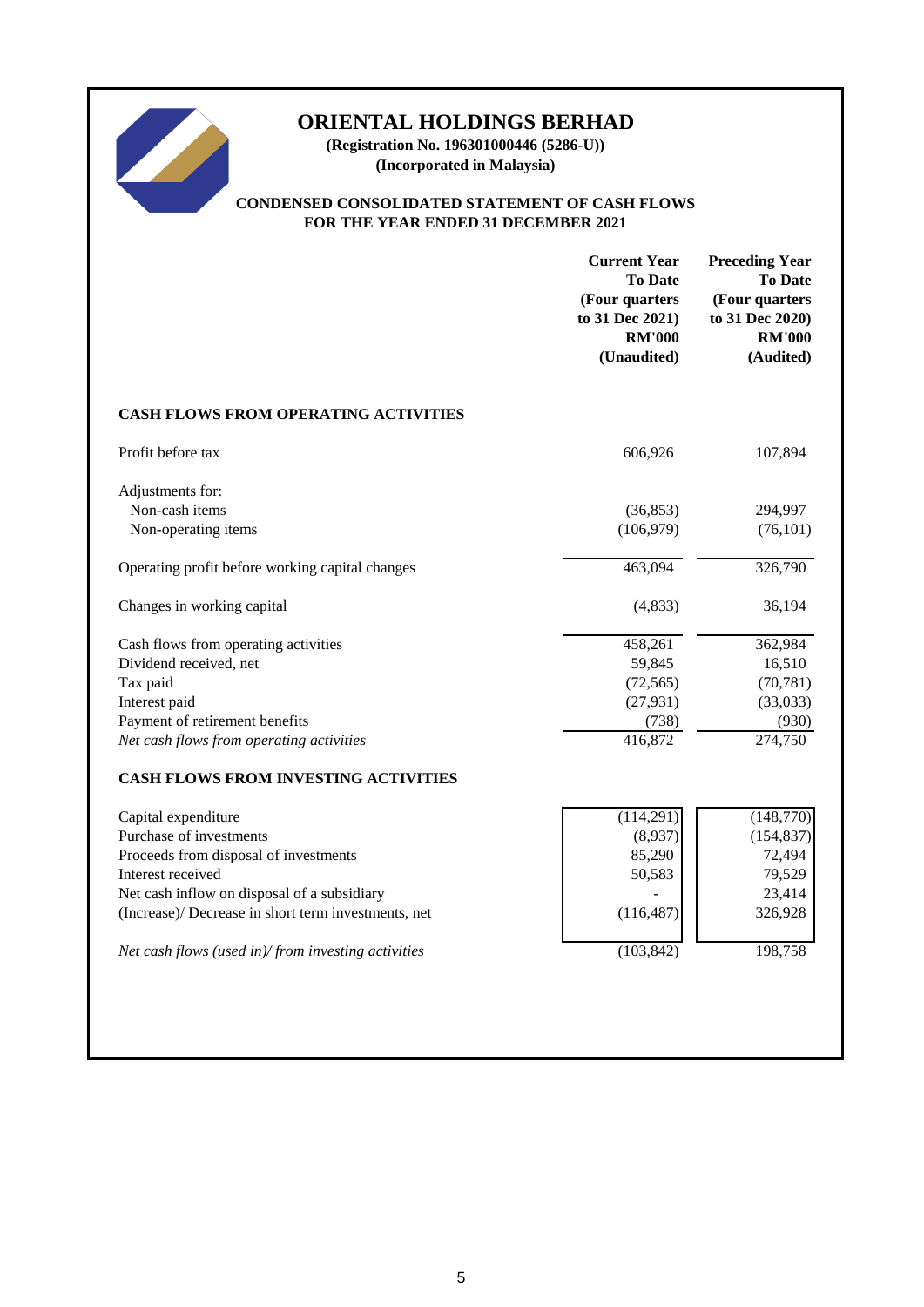

**(Registration No. 196301000446 (5286-U)) (Incorporated in Malaysia)**

## **CONDENSED CONSOLIDATED STATEMENT OF CASH FLOWS FOR THE YEAR ENDED 31 DECEMBER 2021**

|                                                     | <b>Current Year</b><br><b>To Date</b><br>(Four quarters<br>to 31 Dec 2021)<br><b>RM'000</b><br>(Unaudited) | <b>Preceding Year</b><br><b>To Date</b><br>(Four quarters<br>to 31 Dec 2020)<br><b>RM'000</b><br>(Audited) |
|-----------------------------------------------------|------------------------------------------------------------------------------------------------------------|------------------------------------------------------------------------------------------------------------|
| <b>CASH FLOWS FROM OPERATING ACTIVITIES</b>         |                                                                                                            |                                                                                                            |
| Profit before tax                                   | 606,926                                                                                                    | 107,894                                                                                                    |
| Adjustments for:                                    |                                                                                                            |                                                                                                            |
| Non-cash items                                      | (36, 853)                                                                                                  | 294,997                                                                                                    |
| Non-operating items                                 | (106, 979)                                                                                                 | (76, 101)                                                                                                  |
| Operating profit before working capital changes     | 463,094                                                                                                    | 326,790                                                                                                    |
| Changes in working capital                          | (4, 833)                                                                                                   | 36,194                                                                                                     |
| Cash flows from operating activities                | 458,261                                                                                                    | 362,984                                                                                                    |
| Dividend received, net                              | 59,845                                                                                                     | 16,510                                                                                                     |
| Tax paid                                            | (72, 565)                                                                                                  | (70, 781)                                                                                                  |
| Interest paid                                       | (27, 931)                                                                                                  | (33,033)                                                                                                   |
| Payment of retirement benefits                      | (738)                                                                                                      | (930)                                                                                                      |
| Net cash flows from operating activities            | 416,872                                                                                                    | 274,750                                                                                                    |
| <b>CASH FLOWS FROM INVESTING ACTIVITIES</b>         |                                                                                                            |                                                                                                            |
| Capital expenditure                                 | (114,291)                                                                                                  | (148, 770)                                                                                                 |
| Purchase of investments                             | (8,937)                                                                                                    | (154, 837)                                                                                                 |
| Proceeds from disposal of investments               | 85,290                                                                                                     | 72,494                                                                                                     |
| Interest received                                   | 50,583                                                                                                     | 79,529                                                                                                     |
| Net cash inflow on disposal of a subsidiary         |                                                                                                            | 23,414                                                                                                     |
| (Increase)/ Decrease in short term investments, net | (116, 487)                                                                                                 | 326,928                                                                                                    |
| Net cash flows (used in)/from investing activities  | (103, 842)                                                                                                 | 198,758                                                                                                    |
|                                                     |                                                                                                            |                                                                                                            |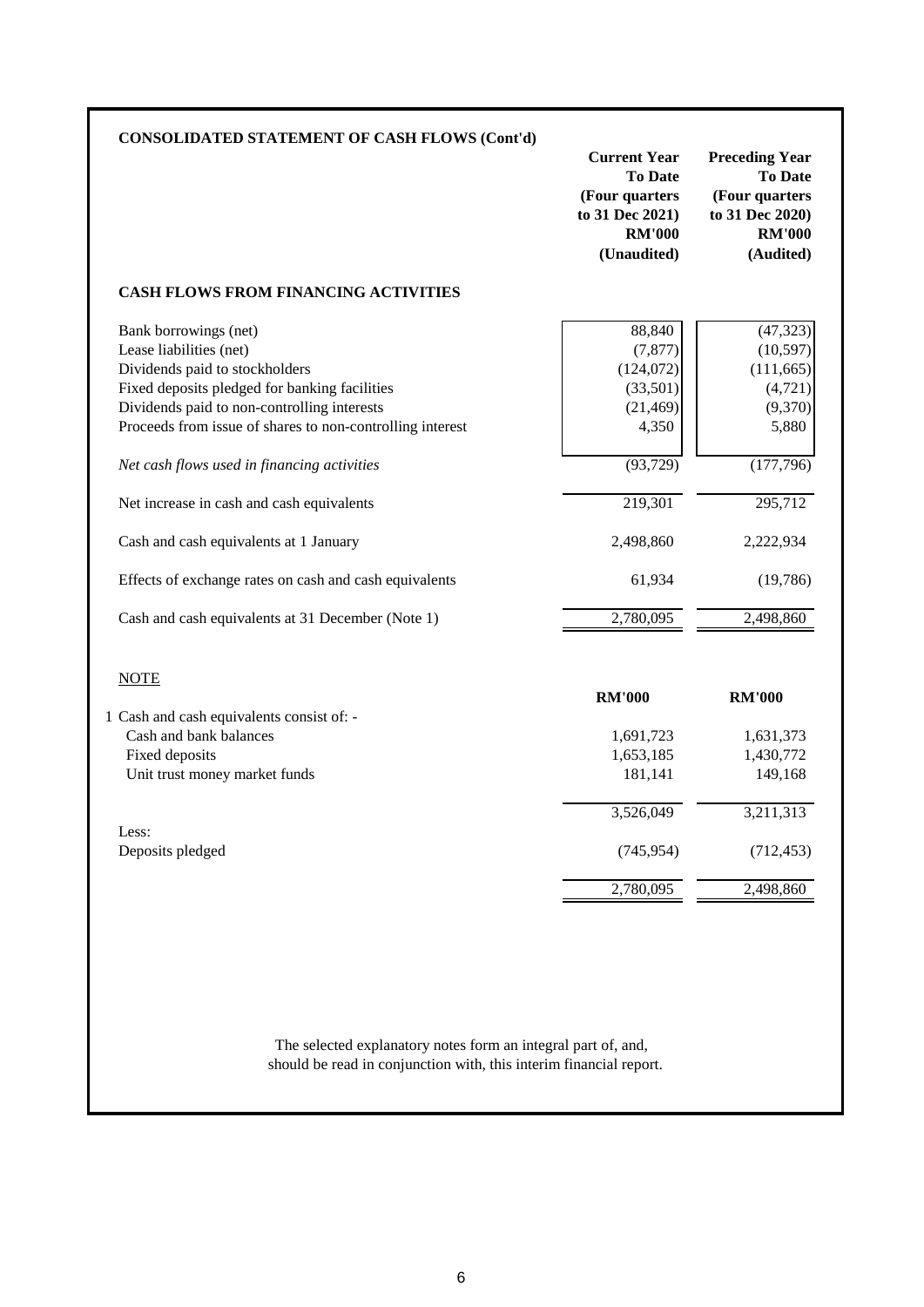| <b>CONSOLIDATED STATEMENT OF CASH FLOWS (Cont'd)</b>      | <b>Current Year</b><br><b>To Date</b><br>(Four quarters<br>to 31 Dec 2021)<br><b>RM'000</b><br>(Unaudited) | <b>Preceding Year</b><br><b>To Date</b><br>(Four quarters<br>to 31 Dec 2020)<br><b>RM'000</b><br>(Audited) |
|-----------------------------------------------------------|------------------------------------------------------------------------------------------------------------|------------------------------------------------------------------------------------------------------------|
| <b>CASH FLOWS FROM FINANCING ACTIVITIES</b>               |                                                                                                            |                                                                                                            |
| Bank borrowings (net)                                     | 88,840                                                                                                     | (47, 323)                                                                                                  |
| Lease liabilities (net)                                   | (7, 877)                                                                                                   | (10, 597)                                                                                                  |
| Dividends paid to stockholders                            | (124, 072)                                                                                                 | (111, 665)                                                                                                 |
| Fixed deposits pledged for banking facilities             | (33,501)                                                                                                   | (4, 721)                                                                                                   |
| Dividends paid to non-controlling interests               | (21, 469)                                                                                                  | (9,370)                                                                                                    |
| Proceeds from issue of shares to non-controlling interest | 4,350                                                                                                      | 5,880                                                                                                      |
| Net cash flows used in financing activities               | (93, 729)                                                                                                  | (177,796)                                                                                                  |
| Net increase in cash and cash equivalents                 | 219,301                                                                                                    | 295,712                                                                                                    |
| Cash and cash equivalents at 1 January                    | 2,498,860                                                                                                  | 2,222,934                                                                                                  |
| Effects of exchange rates on cash and cash equivalents    | 61,934                                                                                                     | (19,786)                                                                                                   |
| Cash and cash equivalents at 31 December (Note 1)         | 2,780,095                                                                                                  | 2,498,860                                                                                                  |
| <b>NOTE</b>                                               | <b>RM'000</b>                                                                                              | <b>RM'000</b>                                                                                              |
| 1 Cash and cash equivalents consist of: -                 |                                                                                                            |                                                                                                            |
| Cash and bank balances                                    | 1,691,723                                                                                                  | 1,631,373                                                                                                  |
| Fixed deposits                                            | 1,653,185                                                                                                  | 1,430,772                                                                                                  |
| Unit trust money market funds                             | 181,141                                                                                                    | 149,168                                                                                                    |
|                                                           |                                                                                                            |                                                                                                            |
|                                                           | 3,526,049                                                                                                  | 3,211,313                                                                                                  |
| Less:<br>Deposits pledged                                 | (745, 954)                                                                                                 | (712, 453)                                                                                                 |

should be read in conjunction with, this interim financial report. The selected explanatory notes form an integral part of, and,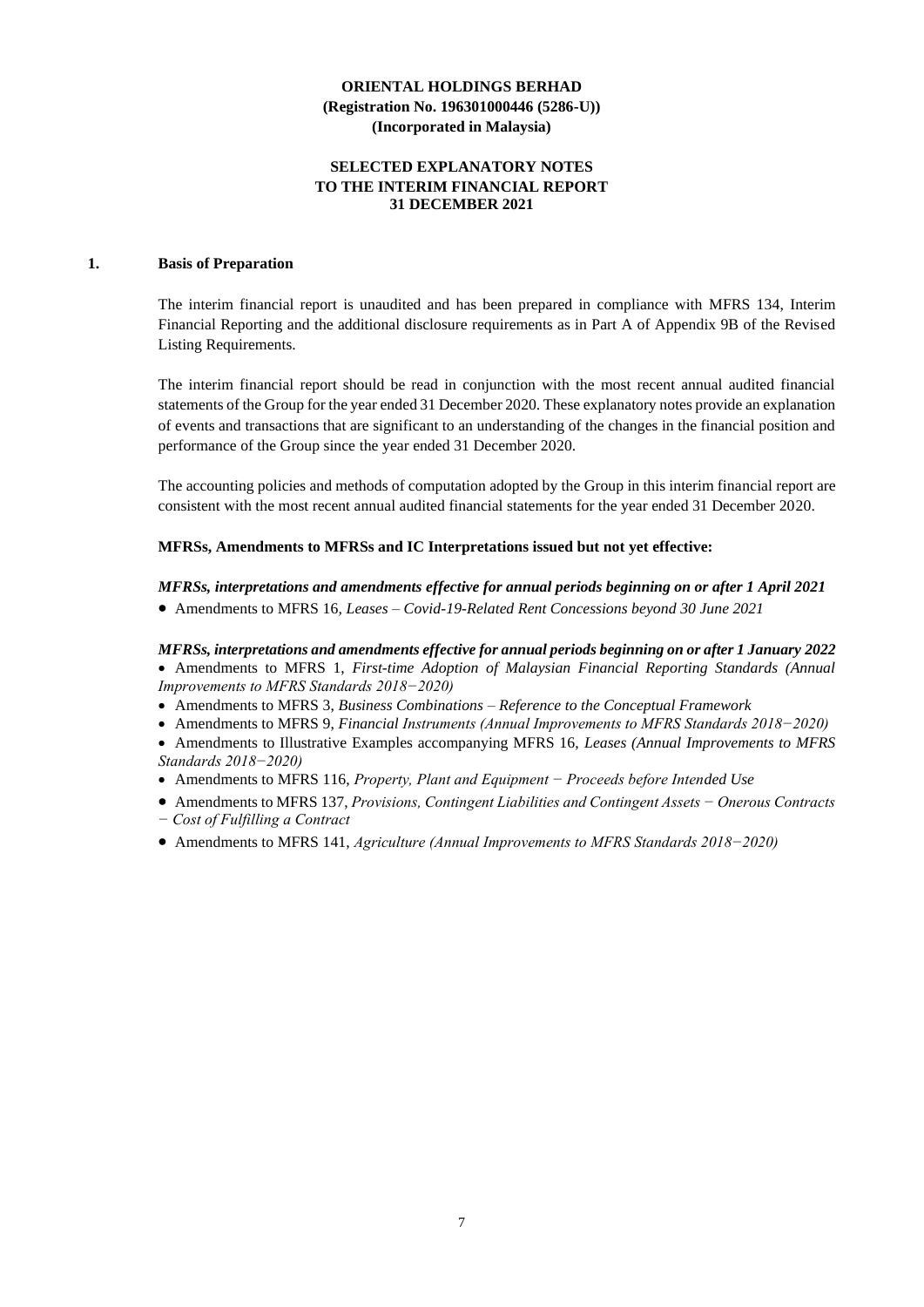#### **SELECTED EXPLANATORY NOTES TO THE INTERIM FINANCIAL REPORT 31 DECEMBER 2021**

## **1. Basis of Preparation**

The interim financial report is unaudited and has been prepared in compliance with MFRS 134, Interim Financial Reporting and the additional disclosure requirements as in Part A of Appendix 9B of the Revised Listing Requirements.

The interim financial report should be read in conjunction with the most recent annual audited financial statements of the Group for the year ended 31 December 2020. These explanatory notes provide an explanation of events and transactions that are significant to an understanding of the changes in the financial position and performance of the Group since the year ended 31 December 2020.

The accounting policies and methods of computation adopted by the Group in this interim financial report are consistent with the most recent annual audited financial statements for the year ended 31 December 2020.

#### **MFRSs, Amendments to MFRSs and IC Interpretations issued but not yet effective:**

#### *MFRSs, interpretations and amendments effective for annual periods beginning on or after 1 April 2021*

• Amendments to MFRS 16*, Leases – Covid-19-Related Rent Concessions beyond 30 June 2021*

*MFRSs, interpretations and amendments effective for annual periods beginning on or after 1 January 2022*

• Amendments to MFRS 1, *First-time Adoption of Malaysian Financial Reporting Standards (Annual Improvements to MFRS Standards 2018−2020)*

- Amendments to MFRS 3, *Business Combinations – Reference to the Conceptual Framework*
- Amendments to MFRS 9, *Financial Instruments (Annual Improvements to MFRS Standards 2018−2020)*
- Amendments to Illustrative Examples accompanying MFRS 16, *Leases (Annual Improvements to MFRS Standards 2018−2020)*
- Amendments to MFRS 116, *Property, Plant and Equipment − Proceeds before Intended Use*
- Amendments to MFRS 137, *Provisions, Contingent Liabilities and Contingent Assets − Onerous Contracts − Cost of Fulfilling a Contract*
- Amendments to MFRS 141, *Agriculture (Annual Improvements to MFRS Standards 2018−2020)*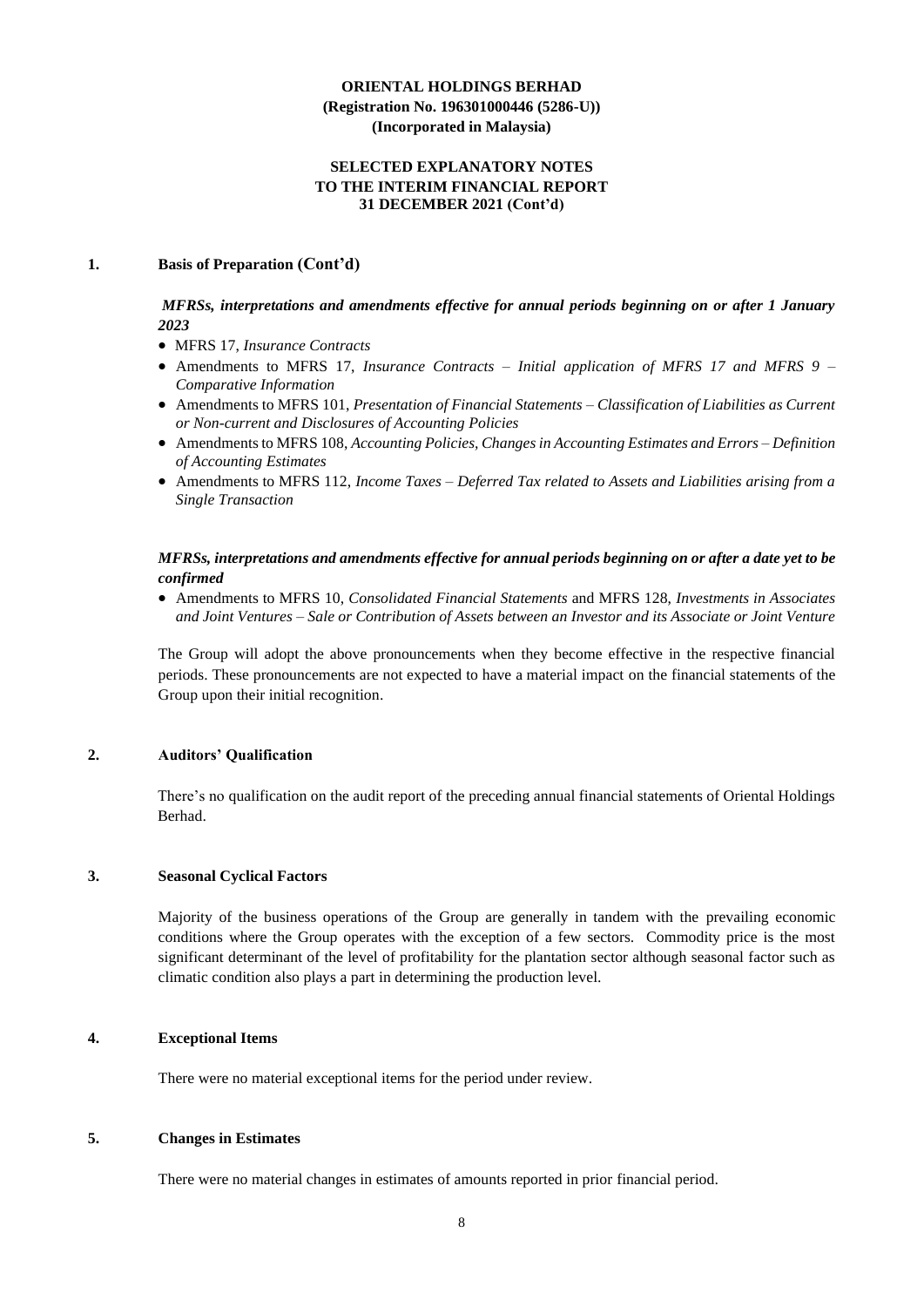#### **SELECTED EXPLANATORY NOTES TO THE INTERIM FINANCIAL REPORT 31 DECEMBER 2021 (Cont'd)**

#### **1. Basis of Preparation (Cont'd)**

#### *MFRSs, interpretations and amendments effective for annual periods beginning on or after 1 January 2023*

- MFRS 17, *Insurance Contracts*
- Amendments to MFRS 17, *Insurance Contracts Initial application of MFRS 17 and MFRS 9 – Comparative Information*
- Amendments to MFRS 101, *Presentation of Financial Statements – Classification of Liabilities as Current or Non-current and Disclosures of Accounting Policies*
- Amendments to MFRS 108, *Accounting Policies, Changes in Accounting Estimates and Errors – Definition of Accounting Estimates*
- Amendments to MFRS 112, *Income Taxes – Deferred Tax related to Assets and Liabilities arising from a Single Transaction*

#### *MFRSs, interpretations and amendments effective for annual periods beginning on or after a date yet to be confirmed*

• Amendments to MFRS 10, *Consolidated Financial Statements* and MFRS 128, *Investments in Associates and Joint Ventures – Sale or Contribution of Assets between an Investor and its Associate or Joint Venture*

The Group will adopt the above pronouncements when they become effective in the respective financial periods. These pronouncements are not expected to have a material impact on the financial statements of the Group upon their initial recognition.

#### **2. Auditors' Qualification**

There's no qualification on the audit report of the preceding annual financial statements of Oriental Holdings Berhad.

#### **3. Seasonal Cyclical Factors**

Majority of the business operations of the Group are generally in tandem with the prevailing economic conditions where the Group operates with the exception of a few sectors. Commodity price is the most significant determinant of the level of profitability for the plantation sector although seasonal factor such as climatic condition also plays a part in determining the production level.

#### **4. Exceptional Items**

There were no material exceptional items for the period under review.

#### **5. Changes in Estimates**

There were no material changes in estimates of amounts reported in prior financial period.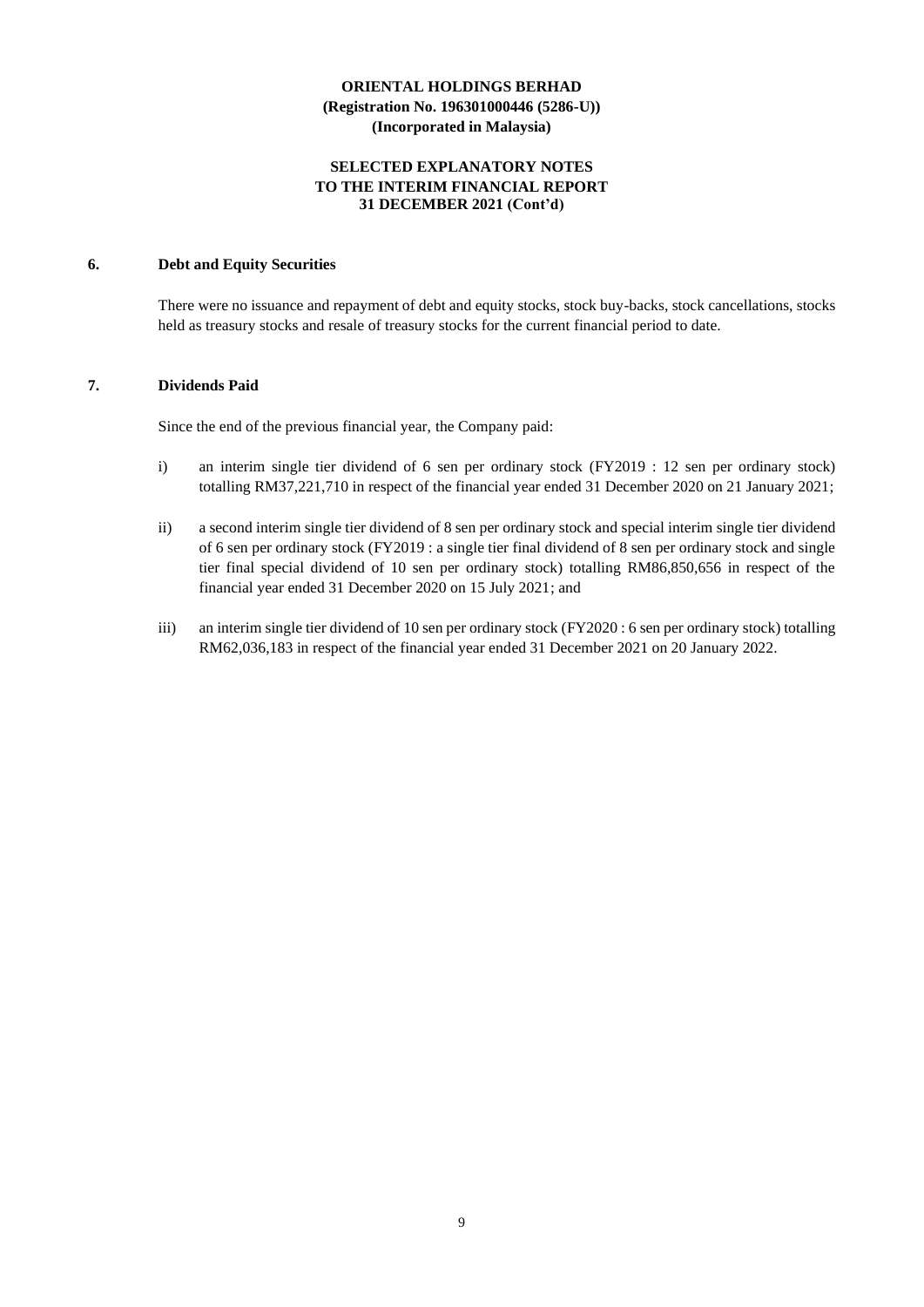#### **SELECTED EXPLANATORY NOTES TO THE INTERIM FINANCIAL REPORT 31 DECEMBER 2021 (Cont'd)**

## **6. Debt and Equity Securities**

There were no issuance and repayment of debt and equity stocks, stock buy-backs, stock cancellations, stocks held as treasury stocks and resale of treasury stocks for the current financial period to date.

#### **7. Dividends Paid**

Since the end of the previous financial year, the Company paid:

- i) an interim single tier dividend of 6 sen per ordinary stock (FY2019 : 12 sen per ordinary stock) totalling RM37,221,710 in respect of the financial year ended 31 December 2020 on 21 January 2021;
- ii) a second interim single tier dividend of 8 sen per ordinary stock and special interim single tier dividend of 6 sen per ordinary stock (FY2019 : a single tier final dividend of 8 sen per ordinary stock and single tier final special dividend of 10 sen per ordinary stock) totalling RM86,850,656 in respect of the financial year ended 31 December 2020 on 15 July 2021; and
- iii) an interim single tier dividend of 10 sen per ordinary stock (FY2020 : 6 sen per ordinary stock) totalling RM62,036,183 in respect of the financial year ended 31 December 2021 on 20 January 2022.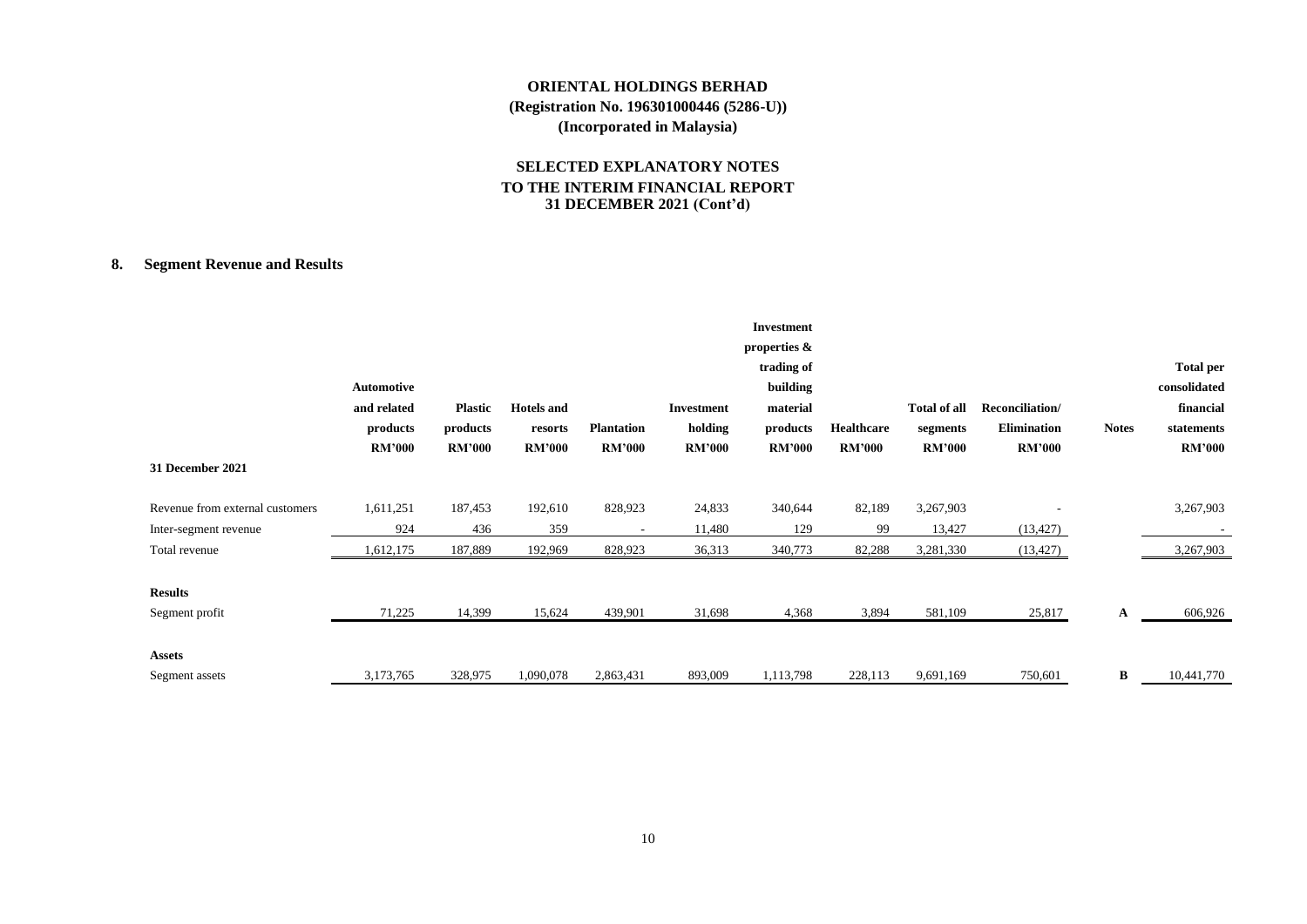## **SELECTED EXPLANATORY NOTES TO THE INTERIM FINANCIAL REPORT 31 DECEMBER 2021 (Cont'd)**

## **8. Segment Revenue and Results**

| 31 December 2021                | Automotive<br>and related<br>products<br><b>RM'000</b> | <b>Plastic</b><br>products<br><b>RM'000</b> | <b>Hotels</b> and<br>resorts<br><b>RM'000</b> | <b>Plantation</b><br><b>RM'000</b> | <b>Investment</b><br>holding<br><b>RM'000</b> | <b>Investment</b><br>properties &<br>trading of<br>building<br>material<br>products<br><b>RM'000</b> | Healthcare<br><b>RM'000</b> | <b>Total of all</b><br>segments<br><b>RM'000</b> | Reconciliation/<br>Elimination<br><b>RM'000</b> | <b>Notes</b> | <b>Total per</b><br>consolidated<br>financial<br>statements<br><b>RM'000</b> |
|---------------------------------|--------------------------------------------------------|---------------------------------------------|-----------------------------------------------|------------------------------------|-----------------------------------------------|------------------------------------------------------------------------------------------------------|-----------------------------|--------------------------------------------------|-------------------------------------------------|--------------|------------------------------------------------------------------------------|
| Revenue from external customers | 1,611,251                                              | 187,453                                     | 192,610                                       | 828,923                            | 24,833                                        | 340,644                                                                                              | 82,189                      | 3,267,903                                        |                                                 |              | 3,267,903                                                                    |
| Inter-segment revenue           | 924                                                    | 436                                         | 359                                           | $\overline{\phantom{a}}$           | 11,480                                        | 129                                                                                                  | 99                          | 13,427                                           | (13, 427)                                       |              |                                                                              |
| Total revenue                   | 1,612,175                                              | 187,889                                     | 192,969                                       | 828,923                            | 36,313                                        | 340,773                                                                                              | 82,288                      | 3,281,330                                        | (13, 427)                                       |              | 3,267,903                                                                    |
| <b>Results</b>                  |                                                        |                                             |                                               |                                    |                                               |                                                                                                      |                             |                                                  |                                                 |              |                                                                              |
| Segment profit                  | 71,225                                                 | 14,399                                      | 15,624                                        | 439,901                            | 31,698                                        | 4,368                                                                                                | 3,894                       | 581,109                                          | 25,817                                          | A            | 606,926                                                                      |
| <b>Assets</b>                   |                                                        |                                             |                                               |                                    |                                               |                                                                                                      |                             |                                                  |                                                 |              |                                                                              |
| Segment assets                  | 3,173,765                                              | 328,975                                     | 1,090,078                                     | 2,863,431                          | 893,009                                       | 1,113,798                                                                                            | 228,113                     | 9,691,169                                        | 750,601                                         | B            | 10,441,770                                                                   |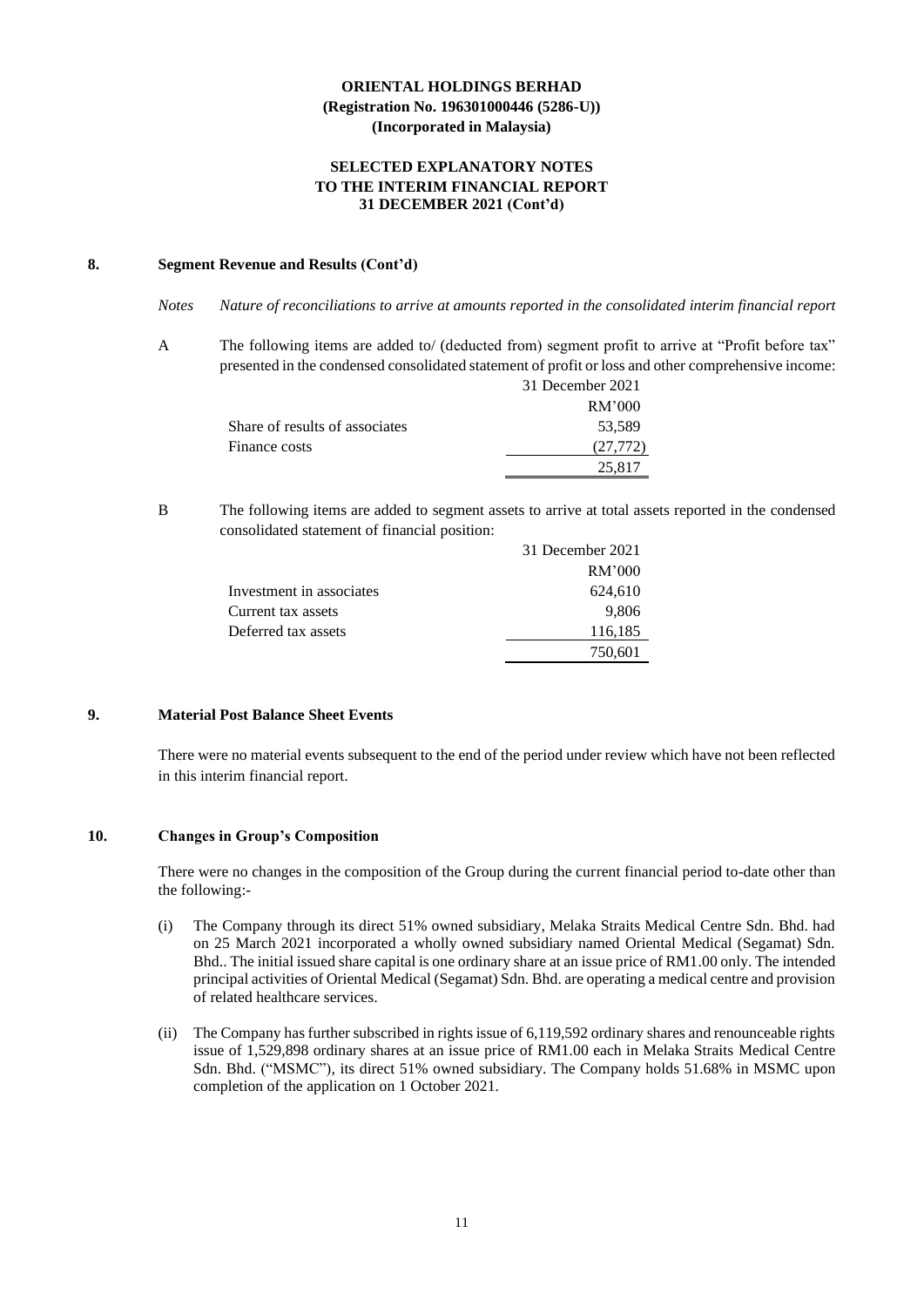#### **SELECTED EXPLANATORY NOTES TO THE INTERIM FINANCIAL REPORT 31 DECEMBER 2021 (Cont'd)**

#### **8. Segment Revenue and Results (Cont'd)**

*Notes Nature of reconciliations to arrive at amounts reported in the consolidated interim financial report*

A The following items are added to/ (deducted from) segment profit to arrive at "Profit before tax" presented in the condensed consolidated statement of profit or loss and other comprehensive income:<br> $\frac{21 \text{ D} \cdot \text{m}}{2021}$  $3021$ 

|                                | 31 December 2021 |
|--------------------------------|------------------|
|                                | RM'000           |
| Share of results of associates | 53,589           |
| Finance costs                  | (27,772)         |
|                                | 25.817           |
|                                |                  |

B The following items are added to segment assets to arrive at total assets reported in the condensed consolidated statement of financial position:

|                          | 31 December 2021 |
|--------------------------|------------------|
|                          | RM'000           |
| Investment in associates | 624,610          |
| Current tax assets       | 9,806            |
| Deferred tax assets      | 116,185          |
|                          | 750,601          |

#### **9. Material Post Balance Sheet Events**

There were no material events subsequent to the end of the period under review which have not been reflected in this interim financial report.

#### **10. Changes in Group's Composition**

There were no changes in the composition of the Group during the current financial period to-date other than the following:-

- (i) The Company through its direct 51% owned subsidiary, Melaka Straits Medical Centre Sdn. Bhd. had on 25 March 2021 incorporated a wholly owned subsidiary named Oriental Medical (Segamat) Sdn. Bhd.. The initial issued share capital is one ordinary share at an issue price of RM1.00 only. The intended principal activities of Oriental Medical (Segamat) Sdn. Bhd. are operating a medical centre and provision of related healthcare services.
- (ii) The Company has further subscribed in rights issue of 6,119,592 ordinary shares and renounceable rights issue of 1,529,898 ordinary shares at an issue price of RM1.00 each in Melaka Straits Medical Centre Sdn. Bhd. ("MSMC"), its direct 51% owned subsidiary. The Company holds 51.68% in MSMC upon completion of the application on 1 October 2021.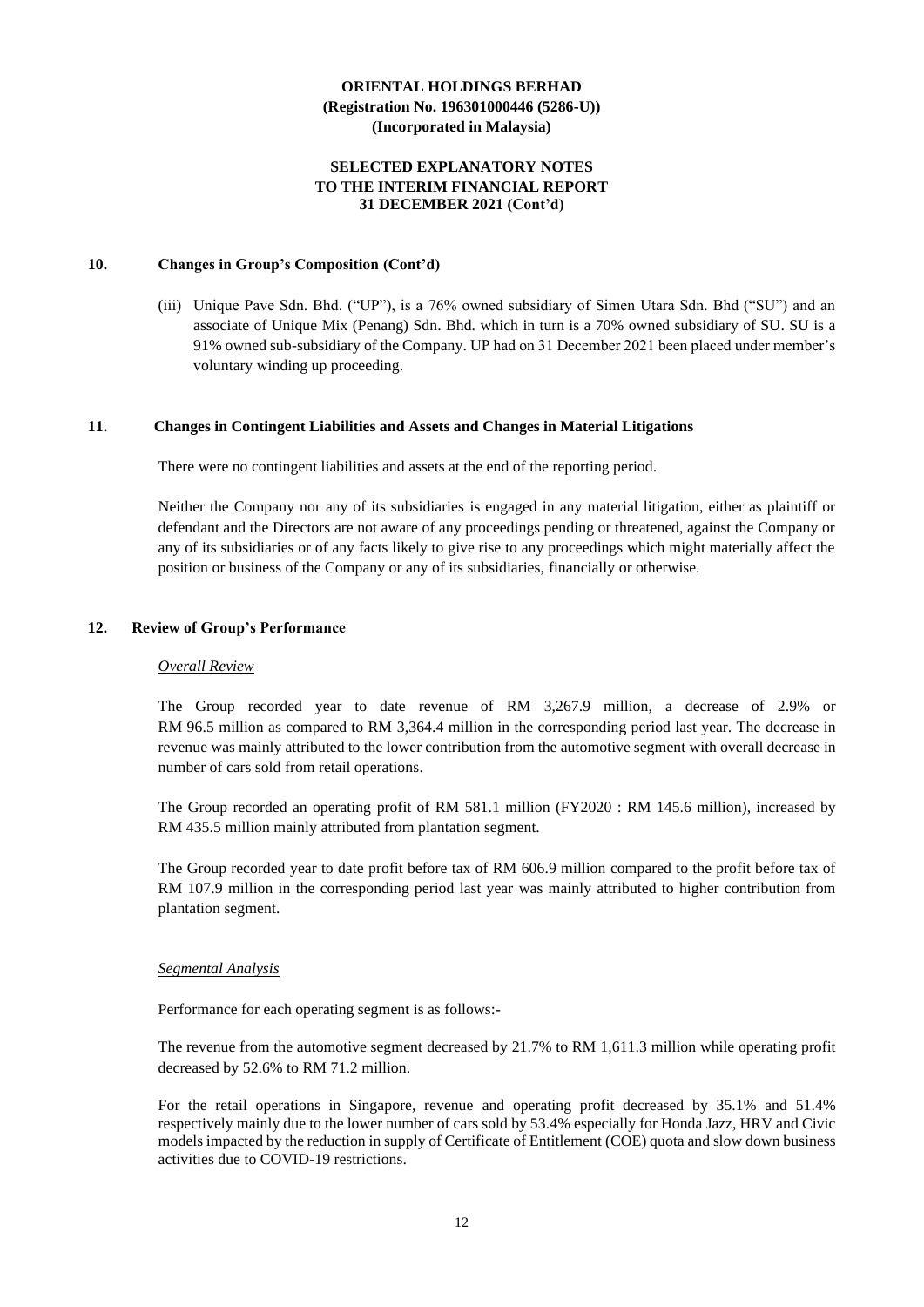#### **SELECTED EXPLANATORY NOTES TO THE INTERIM FINANCIAL REPORT 31 DECEMBER 2021 (Cont'd)**

#### **10. Changes in Group's Composition (Cont'd)**

(iii) Unique Pave Sdn. Bhd. ("UP"), is a 76% owned subsidiary of Simen Utara Sdn. Bhd ("SU") and an associate of Unique Mix (Penang) Sdn. Bhd. which in turn is a 70% owned subsidiary of SU. SU is a 91% owned sub-subsidiary of the Company. UP had on 31 December 2021 been placed under member's voluntary winding up proceeding.

#### **11. Changes in Contingent Liabilities and Assets and Changes in Material Litigations**

There were no contingent liabilities and assets at the end of the reporting period.

Neither the Company nor any of its subsidiaries is engaged in any material litigation, either as plaintiff or defendant and the Directors are not aware of any proceedings pending or threatened, against the Company or any of its subsidiaries or of any facts likely to give rise to any proceedings which might materially affect the position or business of the Company or any of its subsidiaries, financially or otherwise.

## **12. Review of Group's Performance**

#### *Overall Review*

The Group recorded year to date revenue of RM 3,267.9 million, a decrease of 2.9% or RM 96.5 million as compared to RM 3,364.4 million in the corresponding period last year. The decrease in revenue was mainly attributed to the lower contribution from the automotive segment with overall decrease in number of cars sold from retail operations.

The Group recorded an operating profit of RM 581.1 million (FY2020 : RM 145.6 million), increased by RM 435.5 million mainly attributed from plantation segment.

The Group recorded year to date profit before tax of RM 606.9 million compared to the profit before tax of RM 107.9 million in the corresponding period last year was mainly attributed to higher contribution from plantation segment.

#### *Segmental Analysis*

Performance for each operating segment is as follows:-

The revenue from the automotive segment decreased by 21.7% to RM 1,611.3 million while operating profit decreased by 52.6% to RM 71.2 million.

For the retail operations in Singapore, revenue and operating profit decreased by 35.1% and 51.4% respectively mainly due to the lower number of cars sold by 53.4% especially for Honda Jazz, HRV and Civic models impacted by the reduction in supply of Certificate of Entitlement (COE) quota and slow down business activities due to COVID-19 restrictions.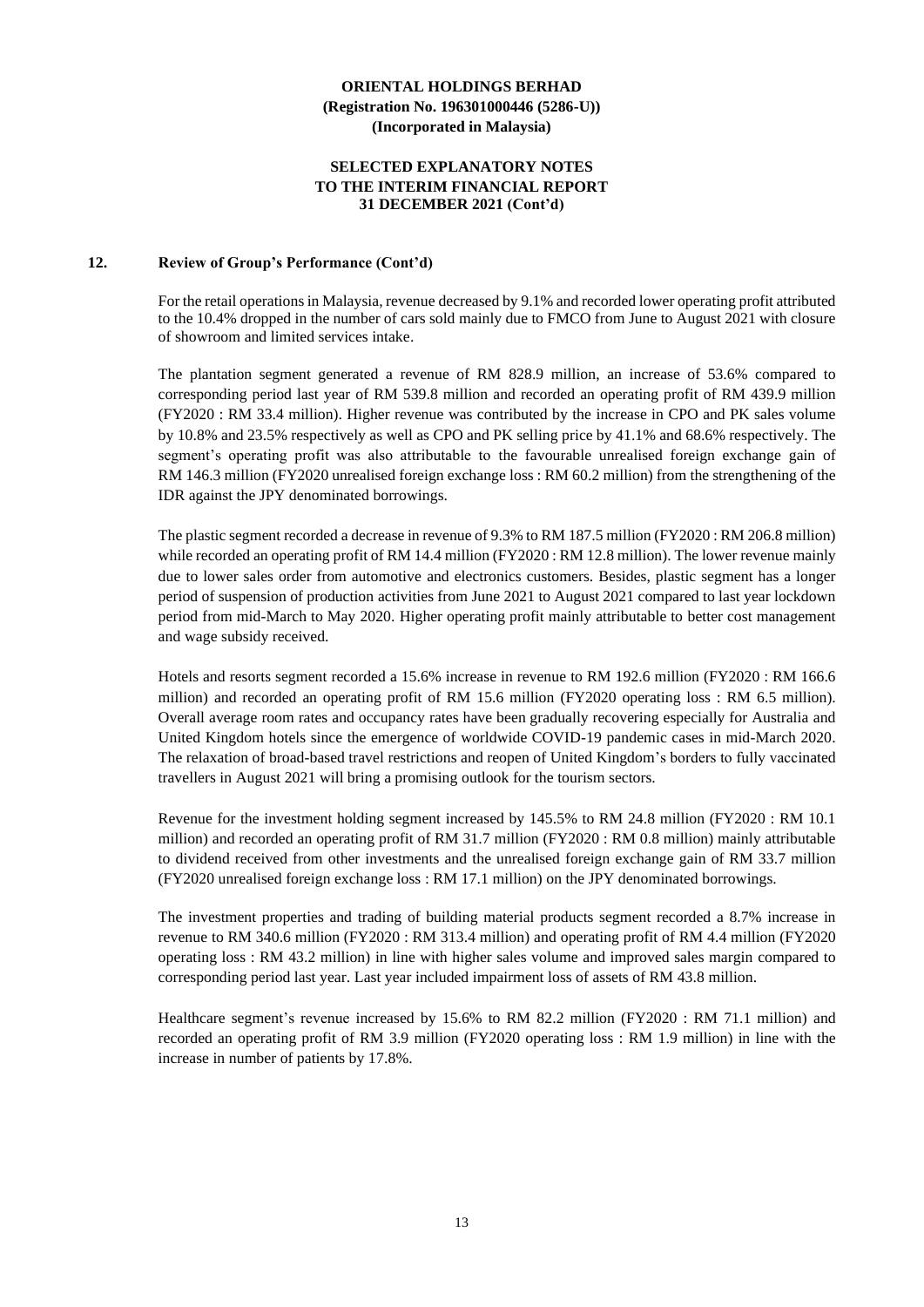#### **SELECTED EXPLANATORY NOTES TO THE INTERIM FINANCIAL REPORT 31 DECEMBER 2021 (Cont'd)**

#### **12. Review of Group's Performance (Cont'd)**

For the retail operations in Malaysia, revenue decreased by 9.1% and recorded lower operating profit attributed to the 10.4% dropped in the number of cars sold mainly due to FMCO from June to August 2021 with closure of showroom and limited services intake.

The plantation segment generated a revenue of RM 828.9 million, an increase of 53.6% compared to corresponding period last year of RM 539.8 million and recorded an operating profit of RM 439.9 million (FY2020 : RM 33.4 million). Higher revenue was contributed by the increase in CPO and PK sales volume by 10.8% and 23.5% respectively as well as CPO and PK selling price by 41.1% and 68.6% respectively. The segment's operating profit was also attributable to the favourable unrealised foreign exchange gain of RM 146.3 million (FY2020 unrealised foreign exchange loss : RM 60.2 million) from the strengthening of the IDR against the JPY denominated borrowings.

The plastic segment recorded a decrease in revenue of 9.3% to RM 187.5 million (FY2020 : RM 206.8 million) while recorded an operating profit of RM 14.4 million (FY2020 : RM 12.8 million). The lower revenue mainly due to lower sales order from automotive and electronics customers. Besides, plastic segment has a longer period of suspension of production activities from June 2021 to August 2021 compared to last year lockdown period from mid-March to May 2020. Higher operating profit mainly attributable to better cost management and wage subsidy received.

Hotels and resorts segment recorded a 15.6% increase in revenue to RM 192.6 million (FY2020 : RM 166.6 million) and recorded an operating profit of RM 15.6 million (FY2020 operating loss : RM 6.5 million). Overall average room rates and occupancy rates have been gradually recovering especially for Australia and United Kingdom hotels since the emergence of worldwide COVID-19 pandemic cases in mid-March 2020. The relaxation of broad-based travel restrictions and reopen of United Kingdom's borders to fully vaccinated travellers in August 2021 will bring a promising outlook for the tourism sectors.

Revenue for the investment holding segment increased by 145.5% to RM 24.8 million (FY2020 : RM 10.1 million) and recorded an operating profit of RM 31.7 million (FY2020 : RM 0.8 million) mainly attributable to dividend received from other investments and the unrealised foreign exchange gain of RM 33.7 million (FY2020 unrealised foreign exchange loss : RM 17.1 million) on the JPY denominated borrowings.

The investment properties and trading of building material products segment recorded a 8.7% increase in revenue to RM 340.6 million (FY2020 : RM 313.4 million) and operating profit of RM 4.4 million (FY2020 operating loss : RM 43.2 million) in line with higher sales volume and improved sales margin compared to corresponding period last year. Last year included impairment loss of assets of RM 43.8 million.

Healthcare segment's revenue increased by 15.6% to RM 82.2 million (FY2020 : RM 71.1 million) and recorded an operating profit of RM 3.9 million (FY2020 operating loss : RM 1.9 million) in line with the increase in number of patients by 17.8%.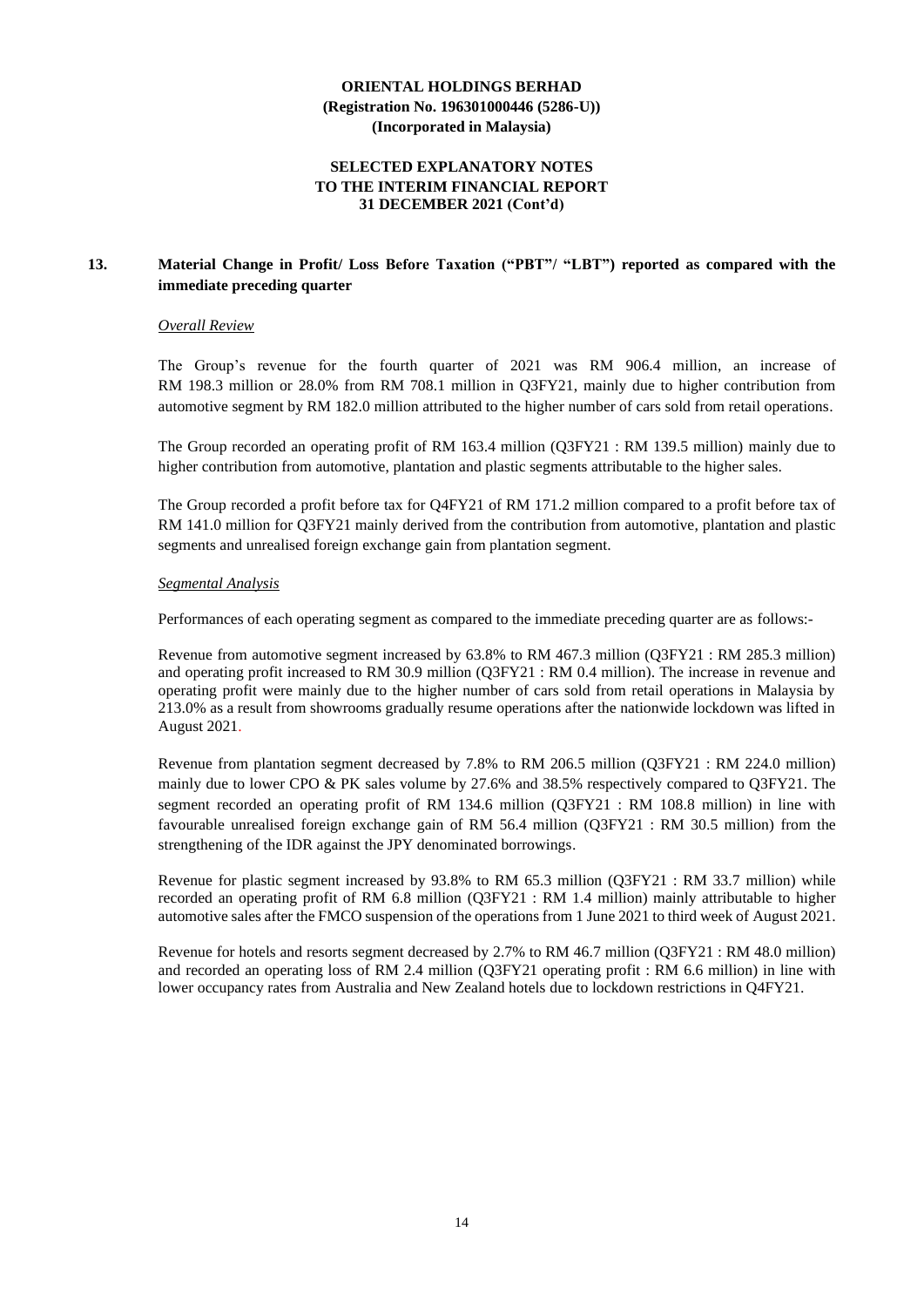#### **SELECTED EXPLANATORY NOTES TO THE INTERIM FINANCIAL REPORT 31 DECEMBER 2021 (Cont'd)**

## **13. Material Change in Profit/ Loss Before Taxation ("PBT"/ "LBT") reported as compared with the immediate preceding quarter**

#### *Overall Review*

The Group's revenue for the fourth quarter of 2021 was RM 906.4 million, an increase of RM 198.3 million or 28.0% from RM 708.1 million in Q3FY21, mainly due to higher contribution from automotive segment by RM 182.0 million attributed to the higher number of cars sold from retail operations.

The Group recorded an operating profit of RM 163.4 million (Q3FY21 : RM 139.5 million) mainly due to higher contribution from automotive, plantation and plastic segments attributable to the higher sales.

The Group recorded a profit before tax for Q4FY21 of RM 171.2 million compared to a profit before tax of RM 141.0 million for Q3FY21 mainly derived from the contribution from automotive, plantation and plastic segments and unrealised foreign exchange gain from plantation segment.

#### *Segmental Analysis*

Performances of each operating segment as compared to the immediate preceding quarter are as follows:-

Revenue from automotive segment increased by 63.8% to RM 467.3 million (Q3FY21 : RM 285.3 million) and operating profit increased to RM 30.9 million (Q3FY21 : RM 0.4 million). The increase in revenue and operating profit were mainly due to the higher number of cars sold from retail operations in Malaysia by 213.0% as a result from showrooms gradually resume operations after the nationwide lockdown was lifted in August 2021.

Revenue from plantation segment decreased by 7.8% to RM 206.5 million (Q3FY21 : RM 224.0 million) mainly due to lower CPO & PK sales volume by 27.6% and 38.5% respectively compared to Q3FY21. The segment recorded an operating profit of RM 134.6 million (Q3FY21 : RM 108.8 million) in line with favourable unrealised foreign exchange gain of RM 56.4 million (Q3FY21 : RM 30.5 million) from the strengthening of the IDR against the JPY denominated borrowings.

Revenue for plastic segment increased by 93.8% to RM 65.3 million (Q3FY21 : RM 33.7 million) while recorded an operating profit of RM 6.8 million (Q3FY21 : RM 1.4 million) mainly attributable to higher automotive sales after the FMCO suspension of the operations from 1 June 2021 to third week of August 2021.

Revenue for hotels and resorts segment decreased by 2.7% to RM 46.7 million (Q3FY21 : RM 48.0 million) and recorded an operating loss of RM 2.4 million (Q3FY21 operating profit : RM 6.6 million) in line with lower occupancy rates from Australia and New Zealand hotels due to lockdown restrictions in Q4FY21.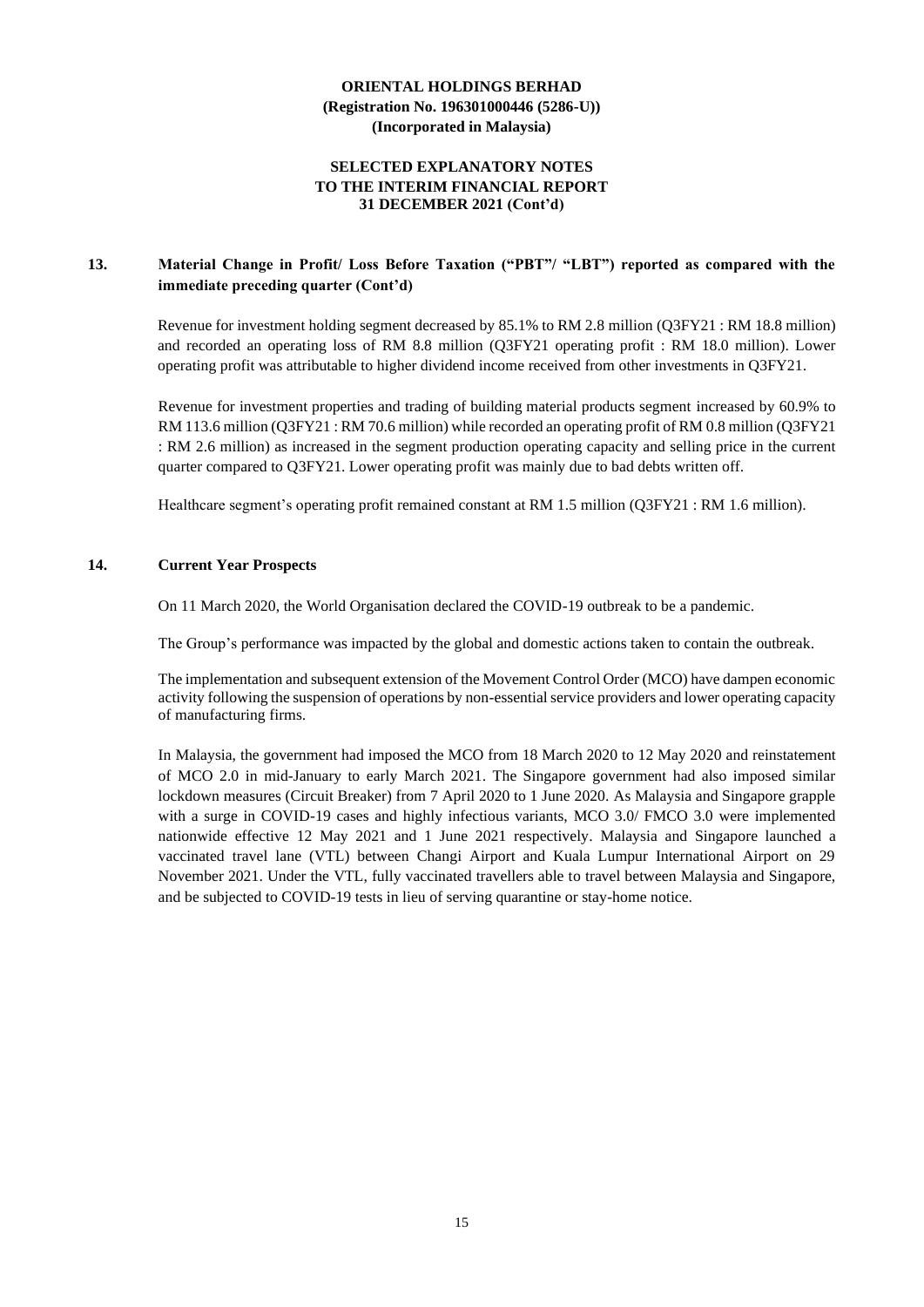#### **SELECTED EXPLANATORY NOTES TO THE INTERIM FINANCIAL REPORT 31 DECEMBER 2021 (Cont'd)**

## **13. Material Change in Profit/ Loss Before Taxation ("PBT"/ "LBT") reported as compared with the immediate preceding quarter (Cont'd)**

Revenue for investment holding segment decreased by 85.1% to RM 2.8 million (Q3FY21 : RM 18.8 million) and recorded an operating loss of RM 8.8 million (Q3FY21 operating profit : RM 18.0 million). Lower operating profit was attributable to higher dividend income received from other investments in Q3FY21.

Revenue for investment properties and trading of building material products segment increased by 60.9% to RM 113.6 million (Q3FY21 : RM 70.6 million) while recorded an operating profit of RM 0.8 million (Q3FY21 : RM 2.6 million) as increased in the segment production operating capacity and selling price in the current quarter compared to Q3FY21. Lower operating profit was mainly due to bad debts written off.

Healthcare segment's operating profit remained constant at RM 1.5 million (Q3FY21 : RM 1.6 million).

#### **14. Current Year Prospects**

On 11 March 2020, the World Organisation declared the COVID-19 outbreak to be a pandemic.

The Group's performance was impacted by the global and domestic actions taken to contain the outbreak.

The implementation and subsequent extension of the Movement Control Order (MCO) have dampen economic activity following the suspension of operations by non-essential service providers and lower operating capacity of manufacturing firms.

In Malaysia, the government had imposed the MCO from 18 March 2020 to 12 May 2020 and reinstatement of MCO 2.0 in mid-January to early March 2021. The Singapore government had also imposed similar lockdown measures (Circuit Breaker) from 7 April 2020 to 1 June 2020. As Malaysia and Singapore grapple with a surge in COVID-19 cases and highly infectious variants, MCO 3.0/ FMCO 3.0 were implemented nationwide effective 12 May 2021 and 1 June 2021 respectively. Malaysia and Singapore launched a vaccinated travel lane (VTL) between Changi Airport and Kuala Lumpur International Airport on 29 November 2021. Under the VTL, fully vaccinated travellers able to travel between Malaysia and Singapore, and be subjected to COVID-19 tests in lieu of serving quarantine or stay-home notice.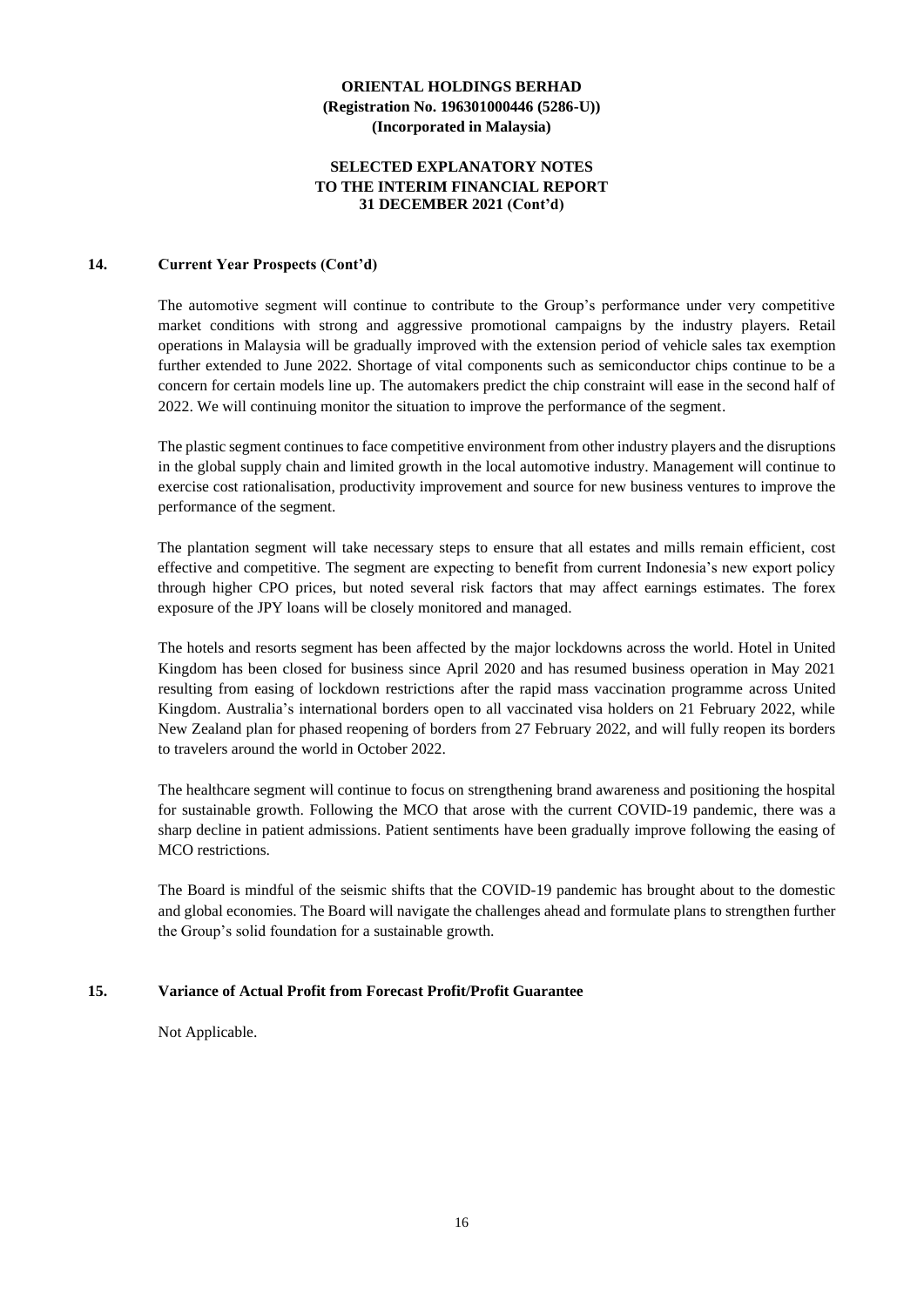#### **SELECTED EXPLANATORY NOTES TO THE INTERIM FINANCIAL REPORT 31 DECEMBER 2021 (Cont'd)**

#### **14. Current Year Prospects (Cont'd)**

The automotive segment will continue to contribute to the Group's performance under very competitive market conditions with strong and aggressive promotional campaigns by the industry players. Retail operations in Malaysia will be gradually improved with the extension period of vehicle sales tax exemption further extended to June 2022. Shortage of vital components such as semiconductor chips continue to be a concern for certain models line up. The automakers predict the chip constraint will ease in the second half of 2022. We will continuing monitor the situation to improve the performance of the segment.

The plastic segment continues to face competitive environment from other industry players and the disruptions in the global supply chain and limited growth in the local automotive industry. Management will continue to exercise cost rationalisation, productivity improvement and source for new business ventures to improve the performance of the segment.

The plantation segment will take necessary steps to ensure that all estates and mills remain efficient, cost effective and competitive. The segment are expecting to benefit from current Indonesia's new export policy through higher CPO prices, but noted several risk factors that may affect earnings estimates. The forex exposure of the JPY loans will be closely monitored and managed.

The hotels and resorts segment has been affected by the major lockdowns across the world. Hotel in United Kingdom has been closed for business since April 2020 and has resumed business operation in May 2021 resulting from easing of lockdown restrictions after the rapid mass vaccination programme across United Kingdom. Australia's international borders open to all vaccinated visa holders on 21 February 2022, while New Zealand plan for phased reopening of borders from 27 February 2022, and will fully reopen its borders to travelers around the world in October 2022.

The healthcare segment will continue to focus on strengthening brand awareness and positioning the hospital for sustainable growth. Following the MCO that arose with the current COVID-19 pandemic, there was a sharp decline in patient admissions. Patient sentiments have been gradually improve following the easing of MCO restrictions.

The Board is mindful of the seismic shifts that the COVID-19 pandemic has brought about to the domestic and global economies. The Board will navigate the challenges ahead and formulate plans to strengthen further the Group's solid foundation for a sustainable growth.

#### **15. Variance of Actual Profit from Forecast Profit/Profit Guarantee**

Not Applicable.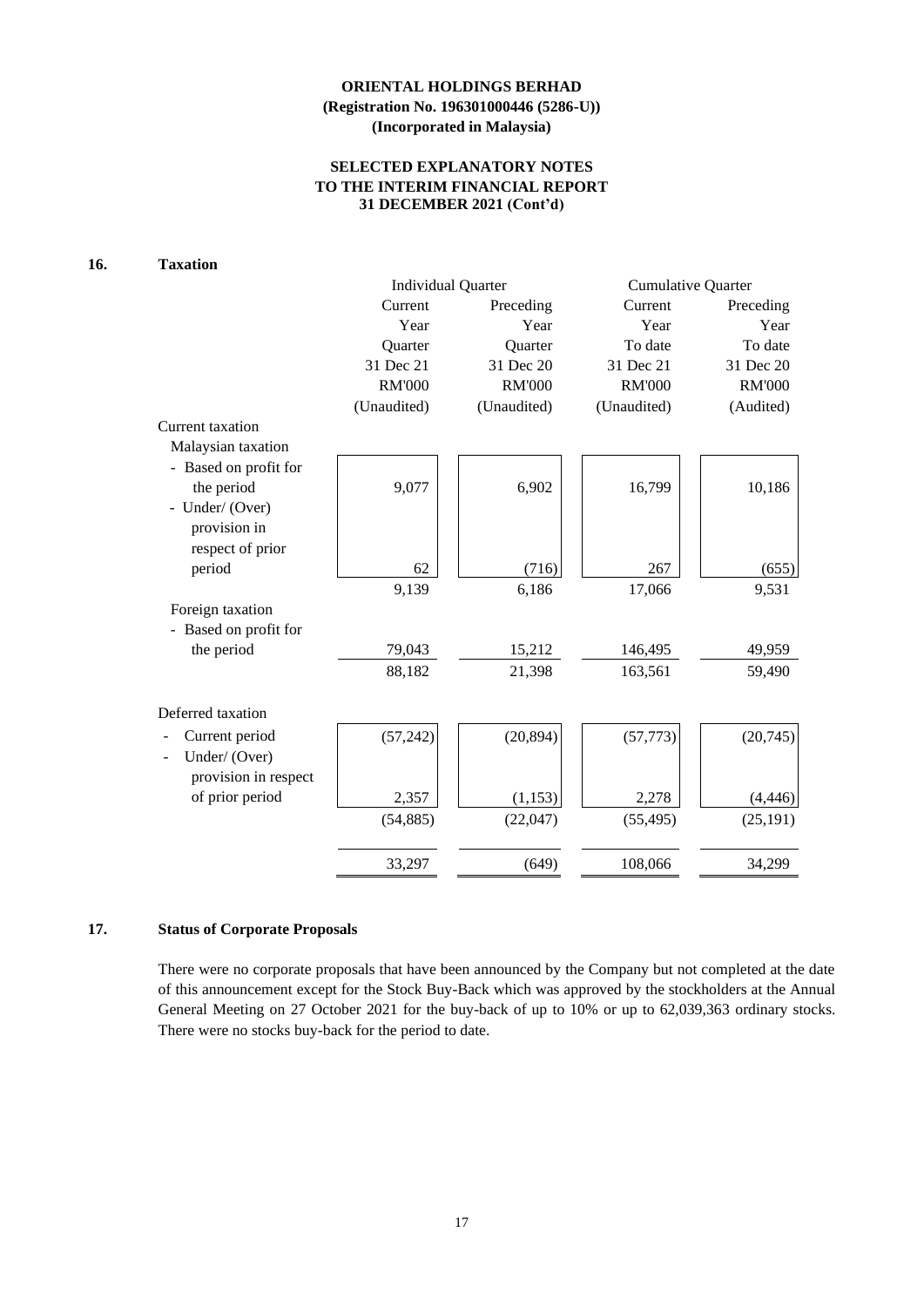## **SELECTED EXPLANATORY NOTES TO THE INTERIM FINANCIAL REPORT 31 DECEMBER 2021 (Cont'd)**

### **16. Taxation**

|                       | <b>Individual Quarter</b> |               | <b>Cumulative Quarter</b> |               |  |
|-----------------------|---------------------------|---------------|---------------------------|---------------|--|
|                       | Current                   | Preceding     | Current                   | Preceding     |  |
|                       | Year                      | Year          | Year                      | Year          |  |
|                       | Quarter                   | Quarter       | To date                   | To date       |  |
|                       | 31 Dec 21                 | 31 Dec 20     | 31 Dec 21                 | 31 Dec 20     |  |
|                       | <b>RM'000</b>             | <b>RM'000</b> | <b>RM'000</b>             | <b>RM'000</b> |  |
|                       | (Unaudited)               | (Unaudited)   | (Unaudited)               | (Audited)     |  |
| Current taxation      |                           |               |                           |               |  |
| Malaysian taxation    |                           |               |                           |               |  |
| - Based on profit for |                           |               |                           |               |  |
| the period            | 9,077                     | 6,902         | 16,799                    | 10,186        |  |
| - Under/ (Over)       |                           |               |                           |               |  |
| provision in          |                           |               |                           |               |  |
| respect of prior      |                           |               |                           |               |  |
| period                | 62                        | (716)         | 267                       | (655)         |  |
|                       | 9,139                     | 6,186         | 17,066                    | 9,531         |  |
| Foreign taxation      |                           |               |                           |               |  |
| - Based on profit for |                           |               |                           |               |  |
| the period            | 79,043                    | 15,212        | 146,495                   | 49,959        |  |
|                       | 88,182                    | 21,398        | 163,561                   | 59,490        |  |
| Deferred taxation     |                           |               |                           |               |  |
| Current period        | (57, 242)                 | (20, 894)     | (57, 773)                 | (20, 745)     |  |
| Under/(Over)          |                           |               |                           |               |  |
| provision in respect  |                           |               |                           |               |  |
| of prior period       | 2,357                     | (1, 153)      | 2,278                     | (4, 446)      |  |
|                       | (54, 885)                 | (22,047)      | (55, 495)                 | (25, 191)     |  |
|                       |                           |               |                           |               |  |
|                       | 33,297                    | (649)         | 108,066                   | 34,299        |  |

#### **17. Status of Corporate Proposals**

There were no corporate proposals that have been announced by the Company but not completed at the date of this announcement except for the Stock Buy-Back which was approved by the stockholders at the Annual General Meeting on 27 October 2021 for the buy-back of up to 10% or up to 62,039,363 ordinary stocks. There were no stocks buy-back for the period to date.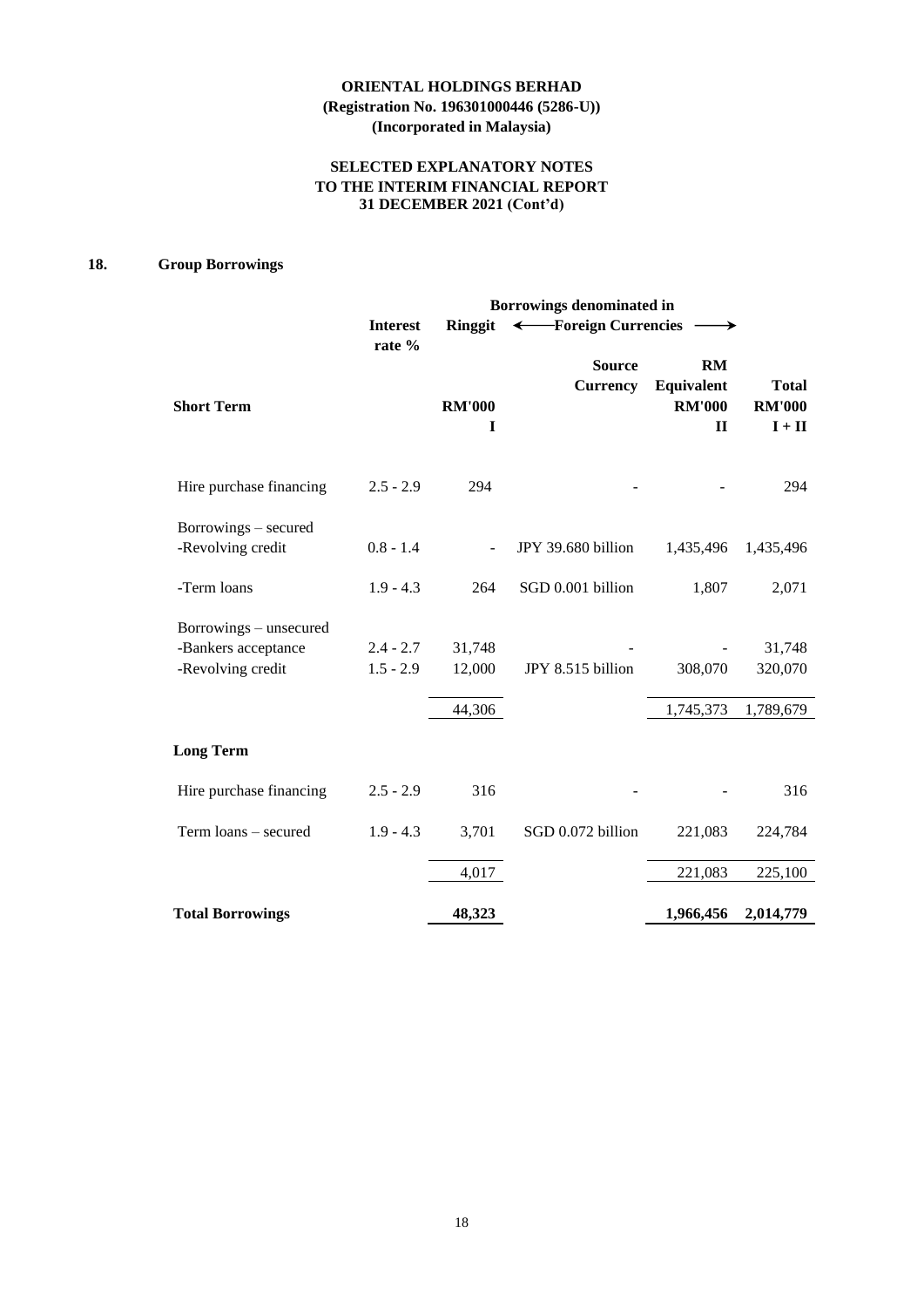## **SELECTED EXPLANATORY NOTES TO THE INTERIM FINANCIAL REPORT 31 DECEMBER 2021 (Cont'd)**

## **18. Group Borrowings**

|                                                                    | Borrowings denominated in  |                    |                                  |                                                   |                                           |  |  |  |
|--------------------------------------------------------------------|----------------------------|--------------------|----------------------------------|---------------------------------------------------|-------------------------------------------|--|--|--|
|                                                                    | <b>Interest</b><br>rate %  | Ringgit            | ← Foreign Currencies             |                                                   |                                           |  |  |  |
| <b>Short Term</b>                                                  |                            | <b>RM'000</b><br>I | <b>Source</b><br><b>Currency</b> | RM<br>Equivalent<br><b>RM'000</b><br>$\mathbf{I}$ | <b>Total</b><br><b>RM'000</b><br>$I + II$ |  |  |  |
| Hire purchase financing                                            | $2.5 - 2.9$                | 294                |                                  |                                                   | 294                                       |  |  |  |
| Borrowings – secured<br>-Revolving credit                          | $0.8 - 1.4$                |                    | JPY 39.680 billion               | 1,435,496                                         | 1,435,496                                 |  |  |  |
| -Term loans                                                        | $1.9 - 4.3$                | 264                | SGD 0.001 billion                | 1,807                                             | 2,071                                     |  |  |  |
| Borrowings – unsecured<br>-Bankers acceptance<br>-Revolving credit | $2.4 - 2.7$<br>$1.5 - 2.9$ | 31,748<br>12,000   | JPY 8.515 billion                | 308,070                                           | 31,748<br>320,070                         |  |  |  |
|                                                                    |                            | 44,306             |                                  | 1,745,373                                         | 1,789,679                                 |  |  |  |
| <b>Long Term</b>                                                   |                            |                    |                                  |                                                   |                                           |  |  |  |
| Hire purchase financing                                            | $2.5 - 2.9$                | 316                |                                  |                                                   | 316                                       |  |  |  |
| Term loans - secured                                               | $1.9 - 4.3$                | 3,701              | SGD 0.072 billion                | 221,083                                           | 224,784                                   |  |  |  |
|                                                                    |                            | 4,017              |                                  | 221,083                                           | 225,100                                   |  |  |  |
| <b>Total Borrowings</b>                                            |                            | 48,323             |                                  | 1,966,456                                         | 2,014,779                                 |  |  |  |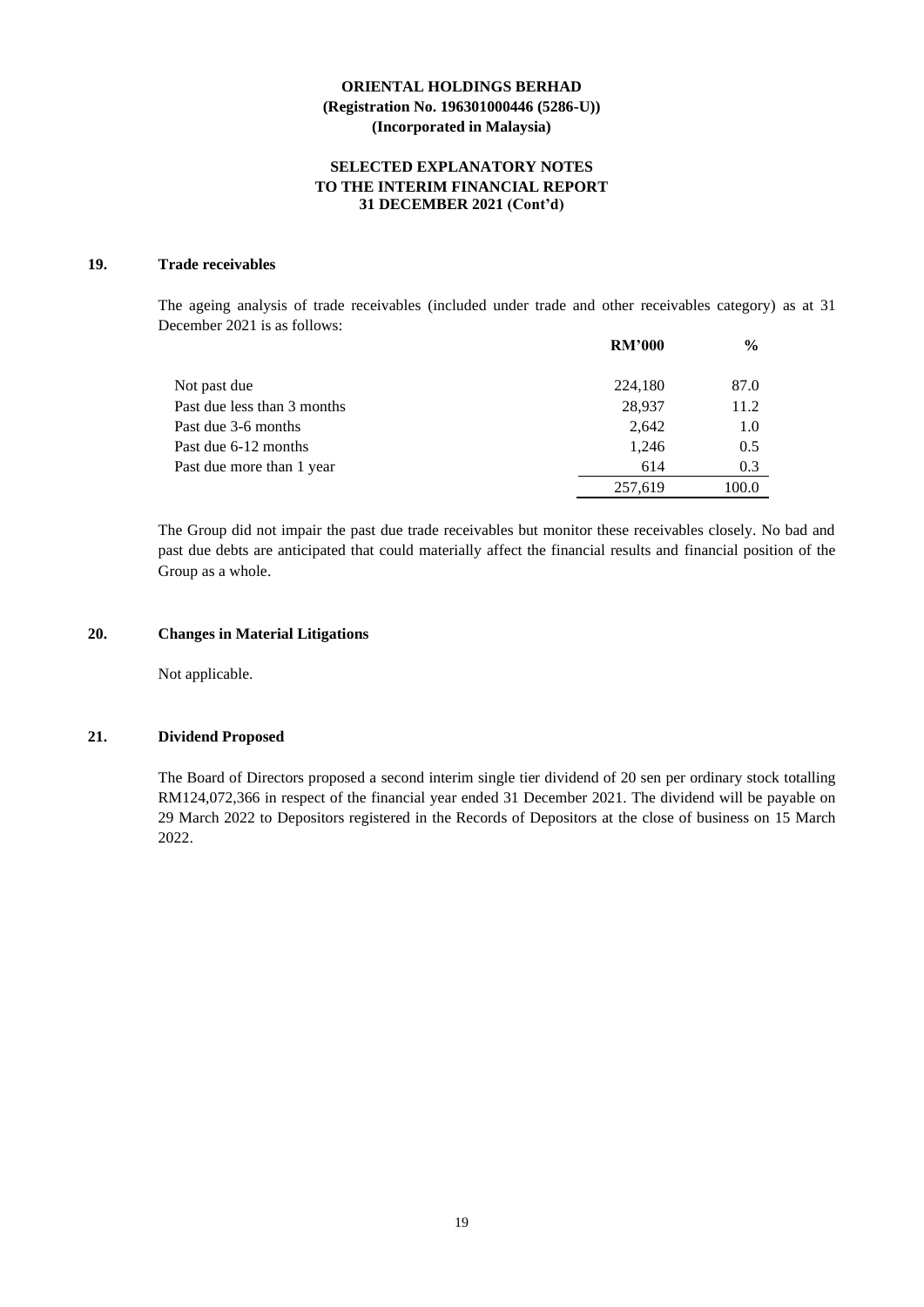#### **SELECTED EXPLANATORY NOTES TO THE INTERIM FINANCIAL REPORT 31 DECEMBER 2021 (Cont'd)**

### **19. Trade receivables**

The ageing analysis of trade receivables (included under trade and other receivables category) as at 31 December 2021 is as follows:

|                             | <b>RM'000</b> | $\frac{6}{9}$ |
|-----------------------------|---------------|---------------|
| Not past due                | 224,180       | 87.0          |
| Past due less than 3 months | 28,937        | 11.2          |
| Past due 3-6 months         | 2.642         | 1.0           |
| Past due 6-12 months        | 1,246         | 0.5           |
| Past due more than 1 year   | 614           | 0.3           |
|                             | 257,619       | 100.0         |

The Group did not impair the past due trade receivables but monitor these receivables closely. No bad and past due debts are anticipated that could materially affect the financial results and financial position of the Group as a whole.

#### **20. Changes in Material Litigations**

Not applicable.

#### **21. Dividend Proposed**

The Board of Directors proposed a second interim single tier dividend of 20 sen per ordinary stock totalling RM124,072,366 in respect of the financial year ended 31 December 2021. The dividend will be payable on 29 March 2022 to Depositors registered in the Records of Depositors at the close of business on 15 March 2022.